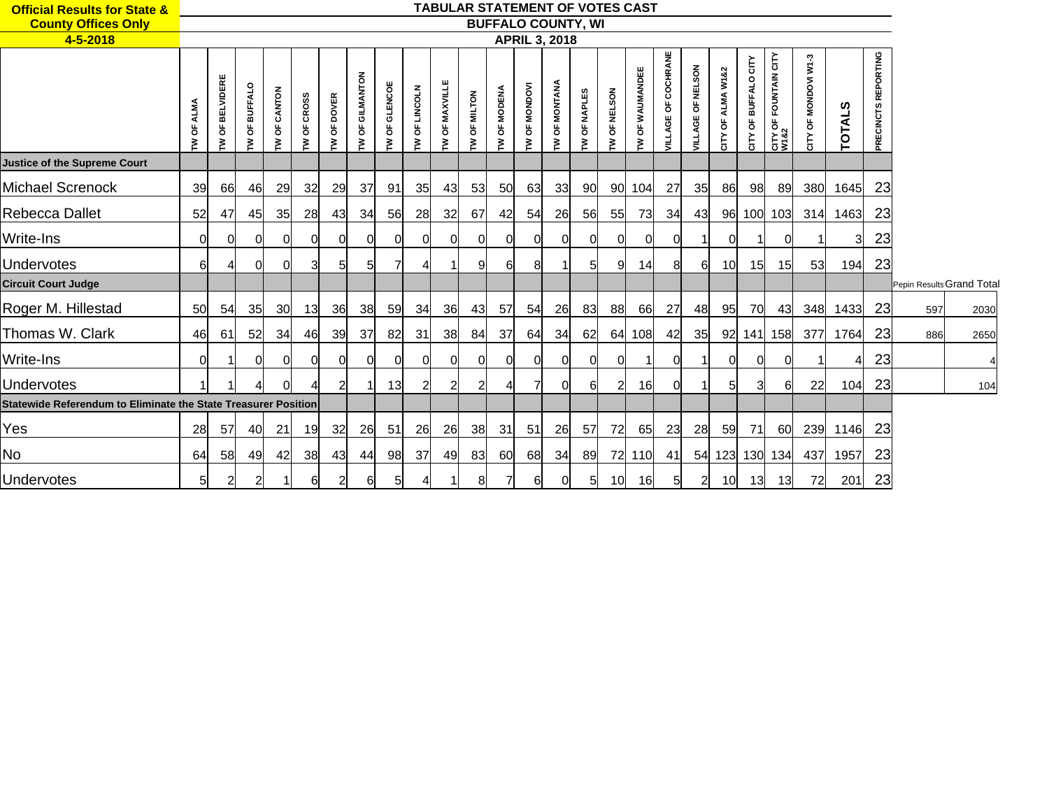| <b>Official Results for State &amp;</b>                        |        |                               |                                |                             |                        |                         |                     |                   |                 |                  |                |                |                          |                   | <b>TABULAR STATEMENT OF VOTES CAST</b> |                         |                     |                          |                       |                        |                           |                               |                                 |                   |                                   |                           |      |  |
|----------------------------------------------------------------|--------|-------------------------------|--------------------------------|-----------------------------|------------------------|-------------------------|---------------------|-------------------|-----------------|------------------|----------------|----------------|--------------------------|-------------------|----------------------------------------|-------------------------|---------------------|--------------------------|-----------------------|------------------------|---------------------------|-------------------------------|---------------------------------|-------------------|-----------------------------------|---------------------------|------|--|
| <b>County Offices Only</b>                                     |        |                               |                                |                             |                        |                         |                     |                   |                 |                  |                |                |                          |                   | <b>BUFFALO COUNTY, WI</b>              |                         |                     |                          |                       |                        |                           |                               |                                 |                   |                                   |                           |      |  |
| 4-5-2018                                                       |        |                               |                                |                             |                        |                         |                     |                   |                 |                  |                |                | <b>APRIL 3, 2018</b>     |                   |                                        |                         |                     |                          |                       |                        |                           |                               |                                 |                   |                                   |                           |      |  |
|                                                                | ზ<br>ξ | ELVIDERE<br>ᆱ<br>$\circ$<br>ξ | <b>BUFFALO</b><br>$\circ$<br>ξ | <b>NOTN</b><br>$\circ$<br>ξ | <b>CROSS</b><br>ზ<br>ξ | <b>DOVER</b><br>۵Ë<br>Σ | GILMANTON<br>ិ<br>ξ | GLENCOE<br>ზ<br>Σ | OF LINCOLN<br>Σ | OF MAXVILLE<br>ξ | OF MILTON<br>ξ | OF MODENA<br>ξ | <b>MONDOVI</b><br>ិ<br>ξ | MONTANA<br>ზ<br>ξ | <b>NAPLES</b><br>ზ<br>ξ                | <b>NELSON</b><br>ზ<br>Σ | WAUMANDEE<br>ិ<br>ξ | COCHRANE<br>ზ<br>তু<br>ă | OF NELSON<br>AGE<br>ă | ALMA W1&2<br>ិ<br>CITY | BUFFALO CITY<br>ិ<br>CITY | CITY OF FOUNTAIN CITY<br>W1&2 | OF MONDOVI W1-3<br>${\sf CITY}$ | ທ<br><b>TOTAL</b> | EPORTING<br>œ<br><b>PRECINCTS</b> |                           |      |  |
| <b>Justice of the Supreme Court</b>                            |        |                               |                                |                             |                        |                         |                     |                   |                 |                  |                |                |                          |                   |                                        |                         |                     |                          |                       |                        |                           |                               |                                 |                   |                                   |                           |      |  |
| <b>Michael Screnock</b>                                        | 39     | 66                            | 46                             | 29                          | 32                     | 29                      | 37                  | 91                | 35              | 43               | 53             | 50             | 63                       | 33                | 90 <sub>l</sub>                        |                         | 90 104              | 27                       | 35                    | 86                     | 98                        | 89                            | 380                             | 1645              | 23                                |                           |      |  |
| Rebecca Dallet                                                 | 52     | 47                            | 45                             | 35                          | 28                     | 43                      | 34                  | 56                | 28              | 32               | 67             | 42             | 54                       | 26                | 56                                     | 55                      | 73                  | 34                       | 43                    | 96                     |                           | 100 103                       | 314                             | 1463              | 23                                |                           |      |  |
| <b>Write-Ins</b>                                               | ΩI     | 0                             | 0l                             | 0                           | 0l                     | Ol                      | 0l                  | 01                | 0               | 0                |                | <sub>0</sub>   | <sub>0</sub>             | $\Omega$          | 0                                      | 01                      |                     | 01                       |                       |                        |                           |                               |                                 | 3                 | 23                                |                           |      |  |
| <b>Undervotes</b>                                              | 61     | 4                             | 0l                             | 0                           | 31                     | 51                      | 5                   |                   |                 |                  |                | 61             | 8                        |                   | 51                                     | 91                      | 14                  | 8 <sup>0</sup>           | 61                    | 10                     | 15                        | 15                            | 53                              | 194               | 23                                |                           |      |  |
| <b>Circuit Court Judge</b>                                     |        |                               |                                |                             |                        |                         |                     |                   |                 |                  |                |                |                          |                   |                                        |                         |                     |                          |                       |                        |                           |                               |                                 |                   |                                   | Pepin Results Grand Total |      |  |
| Roger M. Hillestad                                             | 50     | 54                            | 35                             | <b>30</b>                   | 13                     | 36                      | 38                  | 59                | 34              | <b>36</b>        | 43             | 57             | 54                       | 26                | 83                                     | 88                      | 66                  | 27                       | 48                    | 95                     | 70                        | -43                           | 348                             | 1433              | 23                                | 597                       | 2030 |  |
| Thomas W. Clark                                                | 46     | 61                            | 52                             | <b>34</b>                   | 46                     | <b>39</b>               | 37                  | 82                | 31              | 38l              | 84             | 37             | 64                       | 34                | 62l                                    |                         | 64 108              | 42                       | <b>35</b>             | 92                     |                           | 141 158                       | 377                             | 1764              | 23                                | 886                       | 2650 |  |
| Write-Ins                                                      | ∩      |                               |                                |                             | ΩI                     |                         |                     |                   |                 |                  |                |                | 0l                       | 0                 | $\Omega$                               |                         |                     |                          |                       |                        |                           |                               |                                 |                   | 23                                |                           |      |  |
| <b>Undervotes</b>                                              |        |                               |                                | 0                           |                        | 21                      |                     | 13                |                 |                  |                |                |                          | $\Omega$          | 61                                     |                         | 16                  | Οl                       |                       |                        |                           |                               | 22                              | 104               | 23                                |                           | 104  |  |
| Statewide Referendum to Eliminate the State Treasurer Position |        |                               |                                |                             |                        |                         |                     |                   |                 |                  |                |                |                          |                   |                                        |                         |                     |                          |                       |                        |                           |                               |                                 |                   |                                   |                           |      |  |
| Yes                                                            | 28     | 57                            | 40                             | 21                          | 19                     | 32                      | 26                  | 51                | 26              | 26               | 38             | 31             | 51                       | 26                | -57                                    | 72                      | 65                  | 23                       | 28                    | 59                     | <b>71</b>                 | -60                           | 239                             | 1146              | 23                                |                           |      |  |
| No                                                             | 64     | 58                            | 49                             | 42                          | 38                     | 43                      | 44                  | 98                | 37              | 49               | 83             | 60             | 68                       | 34                | 89                                     |                         | 72 110              | 41                       | 54                    | 123                    | 130                       | 134                           | 437                             | 1957              | 23                                |                           |      |  |
| Undervotes                                                     | 51     | 2                             | $\overline{2}$                 |                             | 61                     | 2                       | 61                  | 51                |                 |                  |                | 71             | 61                       | 0l                | 5                                      | 10 <sup>1</sup>         | <b>16</b>           | 5 <sup>1</sup>           | $\mathbf{2}$          | 10                     | 13                        | 13                            | 72                              | 201               | 23                                |                           |      |  |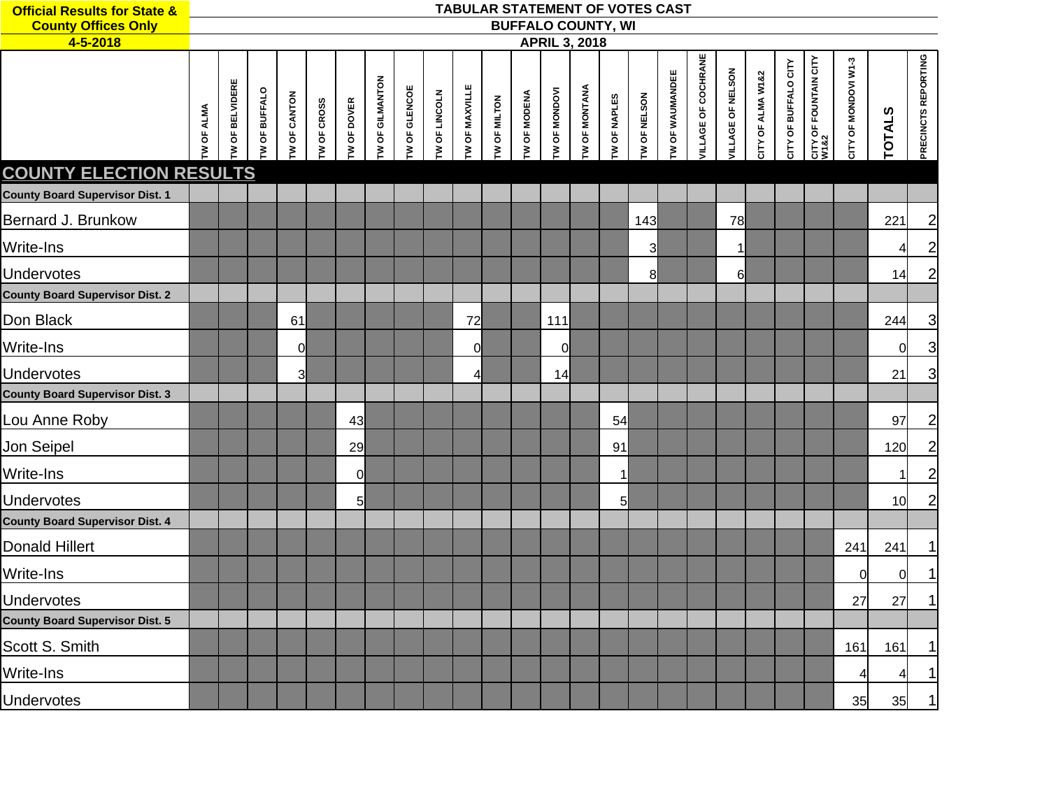| <b>Official Results for State &amp;</b><br><b>County Offices Only</b> |                   |                |                      |                     |                    |                    |                 |                      |                      |                |                     |              | <b>BUFFALO COUNTY, WI</b> |                      |                | TABULAR STATEMENT OF VOTES CAST |                        |                     |                   |                   |                      |                               |                      |               |                     |
|-----------------------------------------------------------------------|-------------------|----------------|----------------------|---------------------|--------------------|--------------------|-----------------|----------------------|----------------------|----------------|---------------------|--------------|---------------------------|----------------------|----------------|---------------------------------|------------------------|---------------------|-------------------|-------------------|----------------------|-------------------------------|----------------------|---------------|---------------------|
| 4-5-2018                                                              |                   |                |                      |                     |                    |                    |                 |                      |                      |                |                     |              | <b>APRIL 3, 2018</b>      |                      |                |                                 |                        |                     |                   |                   |                      |                               |                      |               |                     |
|                                                                       | <b>IW OF ALMA</b> | W OF BELVIDERE | <b>TW OF BUFFALO</b> | <b>TW OF CANTON</b> | <b>TW OF CROSS</b> | <b>TW OF DOVER</b> | TW OF GILMANTON | <b>TW OF GLENCOE</b> | <b>TW OF LINCOLN</b> | TW OF MAXVILLE | <b>TW OF MILTON</b> | TW OF MODENA | <b>TW OF MONDOVI</b>      | <b>TW OF MONTANA</b> | TW OF NAPLES   | TW OF NELSON                    | <b>TW OF WAUMANDEE</b> | VILLAGE OF COCHRANE | VILLAGE OF NELSON | CITY OF ALMA W1&2 | CITY OF BUFFALO CITY | CITY OF FOUNTAIN CITY<br>W1&2 | CITY OF MONDOVI W1-3 | <b>TOTALS</b> | PRECINCTS REPORTING |
| <b>COUNTY ELECTION RESULTS</b>                                        |                   |                |                      |                     |                    |                    |                 |                      |                      |                |                     |              |                           |                      |                |                                 |                        |                     |                   |                   |                      |                               |                      |               |                     |
| <b>County Board Supervisor Dist. 1</b>                                |                   |                |                      |                     |                    |                    |                 |                      |                      |                |                     |              |                           |                      |                |                                 |                        |                     |                   |                   |                      |                               |                      |               |                     |
| Bernard J. Brunkow                                                    |                   |                |                      |                     |                    |                    |                 |                      |                      |                |                     |              |                           |                      |                | 143                             |                        |                     | 78                |                   |                      |                               |                      | 221           | $\mathbf{2}$        |
| Write-Ins                                                             |                   |                |                      |                     |                    |                    |                 |                      |                      |                |                     |              |                           |                      |                | 3                               |                        |                     | $\mathbf 1$       |                   |                      |                               |                      | 4             | $\overline{2}$      |
| Undervotes                                                            |                   |                |                      |                     |                    |                    |                 |                      |                      |                |                     |              |                           |                      |                | 8                               |                        |                     | 6                 |                   |                      |                               |                      | 14            | $\overline{c}$      |
| <b>County Board Supervisor Dist. 2</b>                                |                   |                |                      |                     |                    |                    |                 |                      |                      |                |                     |              |                           |                      |                |                                 |                        |                     |                   |                   |                      |                               |                      |               |                     |
| Don Black                                                             |                   |                |                      | 61                  |                    |                    |                 |                      |                      | 72             |                     |              | 111                       |                      |                |                                 |                        |                     |                   |                   |                      |                               |                      | 244           | $\overline{3}$      |
| Write-Ins                                                             |                   |                |                      | $\overline{0}$      |                    |                    |                 |                      |                      | $\mathbf 0$    |                     |              | 0                         |                      |                |                                 |                        |                     |                   |                   |                      |                               |                      | 0             | $\overline{3}$      |
| Undervotes                                                            |                   |                |                      | 3                   |                    |                    |                 |                      |                      | 4              |                     |              | 14                        |                      |                |                                 |                        |                     |                   |                   |                      |                               |                      | 21            | $\overline{3}$      |
| <b>County Board Supervisor Dist. 3</b>                                |                   |                |                      |                     |                    |                    |                 |                      |                      |                |                     |              |                           |                      |                |                                 |                        |                     |                   |                   |                      |                               |                      |               |                     |
| Lou Anne Roby                                                         |                   |                |                      |                     |                    | 43                 |                 |                      |                      |                |                     |              |                           |                      | 54             |                                 |                        |                     |                   |                   |                      |                               |                      | 97            | $\mathbf{2}$        |
| Jon Seipel                                                            |                   |                |                      |                     |                    | 29                 |                 |                      |                      |                |                     |              |                           |                      | 91             |                                 |                        |                     |                   |                   |                      |                               |                      | 120           | $\mathbf{2}$        |
| Write-Ins                                                             |                   |                |                      |                     |                    | $\overline{0}$     |                 |                      |                      |                |                     |              |                           |                      |                |                                 |                        |                     |                   |                   |                      |                               |                      | 1             | $\overline{2}$      |
| Undervotes                                                            |                   |                |                      |                     |                    | $5 \mid$           |                 |                      |                      |                |                     |              |                           |                      | 5 <sup>1</sup> |                                 |                        |                     |                   |                   |                      |                               |                      | 10            | $\overline{2}$      |
| <b>County Board Supervisor Dist. 4</b>                                |                   |                |                      |                     |                    |                    |                 |                      |                      |                |                     |              |                           |                      |                |                                 |                        |                     |                   |                   |                      |                               |                      |               |                     |
| <b>Donald Hillert</b>                                                 |                   |                |                      |                     |                    |                    |                 |                      |                      |                |                     |              |                           |                      |                |                                 |                        |                     |                   |                   |                      |                               | 241                  | 241           | 1                   |
| Write-Ins                                                             |                   |                |                      |                     |                    |                    |                 |                      |                      |                |                     |              |                           |                      |                |                                 |                        |                     |                   |                   |                      |                               | $\Omega$             | $\mathbf 0$   |                     |
| Undervotes                                                            |                   |                |                      |                     |                    |                    |                 |                      |                      |                |                     |              |                           |                      |                |                                 |                        |                     |                   |                   |                      |                               | 27                   | 27            | 1                   |
| <b>County Board Supervisor Dist. 5</b>                                |                   |                |                      |                     |                    |                    |                 |                      |                      |                |                     |              |                           |                      |                |                                 |                        |                     |                   |                   |                      |                               |                      |               |                     |
| Scott S. Smith                                                        |                   |                |                      |                     |                    |                    |                 |                      |                      |                |                     |              |                           |                      |                |                                 |                        |                     |                   |                   |                      |                               | 161                  | 161           | 1                   |
| Write-Ins                                                             |                   |                |                      |                     |                    |                    |                 |                      |                      |                |                     |              |                           |                      |                |                                 |                        |                     |                   |                   |                      |                               | 4                    | 4             | 1                   |
| Undervotes                                                            |                   |                |                      |                     |                    |                    |                 |                      |                      |                |                     |              |                           |                      |                |                                 |                        |                     |                   |                   |                      |                               | 35                   | 35            | $\mathbf{1}$        |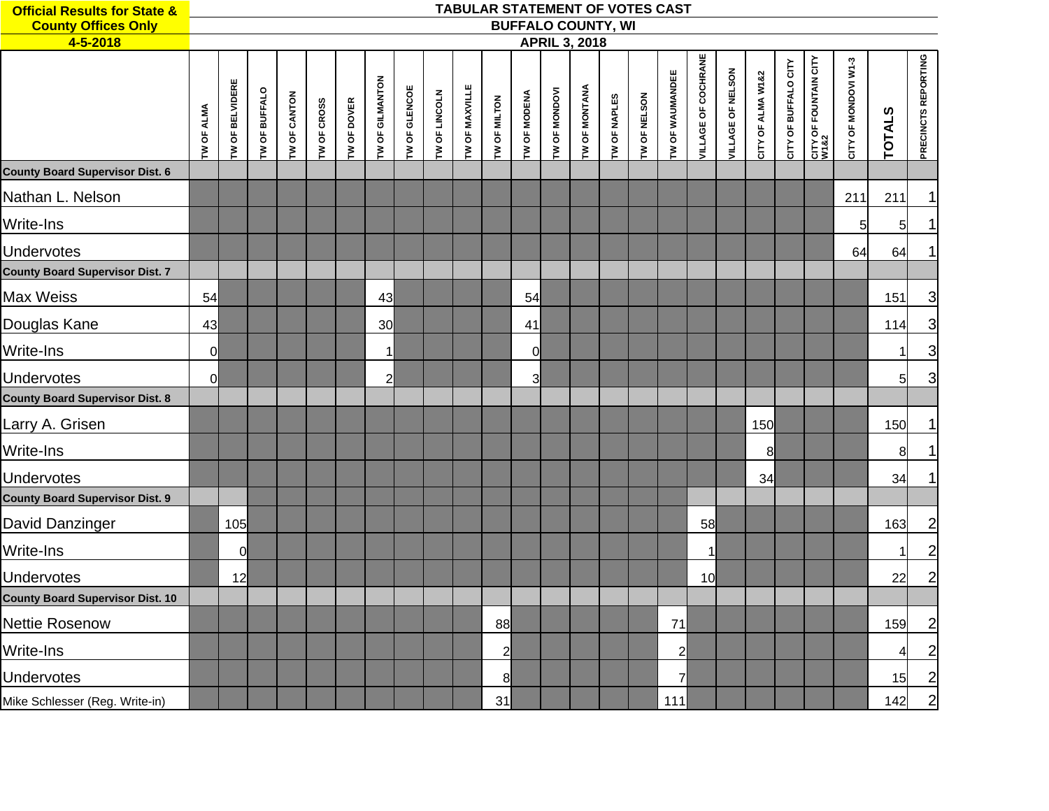| <b>Official Results for State &amp;</b> |                   |                 |               |                     |             |                    |                 |               |               |                | <b>TABULAR STATEMENT OF VOTES CAST</b> |                         |               |                      |                           |              |                 |                     |                   |                   |                         |                                           |                      |               |                     |
|-----------------------------------------|-------------------|-----------------|---------------|---------------------|-------------|--------------------|-----------------|---------------|---------------|----------------|----------------------------------------|-------------------------|---------------|----------------------|---------------------------|--------------|-----------------|---------------------|-------------------|-------------------|-------------------------|-------------------------------------------|----------------------|---------------|---------------------|
| <b>County Offices Only</b>              |                   |                 |               |                     |             |                    |                 |               |               |                |                                        |                         |               |                      | <b>BUFFALO COUNTY, WI</b> |              |                 |                     |                   |                   |                         |                                           |                      |               |                     |
| 4-5-2018                                |                   |                 |               |                     |             |                    |                 |               |               |                |                                        |                         |               | <b>APRIL 3, 2018</b> |                           |              |                 |                     |                   |                   |                         |                                           |                      |               |                     |
|                                         | <b>TW OF ALMA</b> | TW OF BELVIDERE | TW OF BUFFALO | <b>TW OF CANTON</b> | TW OF CROSS | <b>TW OF DOVER</b> | TW OF GILMANTON | TW OF GLENCOE | TW OF LINCOLN | TW OF MAXVILLE | TW OF MILTON                           | <b>TW OF MODENA</b>     | TW OF MONDOVI | TW OF MONTANA        | TW OF NAPLES              | TW OF NELSON | TW OF WAUMANDEE | VILLAGE OF COCHRANE | VILLAGE OF NELSON | CITY OF ALMA W1&2 | OF BUFFALO CITY<br>CITY | <b>CITY OF FOUNTAIN CITY<br/>W1&amp;2</b> | CITY OF MONDOVI W1-3 | <b>TOTALS</b> | PRECINCTS REPORTING |
| <b>County Board Supervisor Dist. 6</b>  |                   |                 |               |                     |             |                    |                 |               |               |                |                                        |                         |               |                      |                           |              |                 |                     |                   |                   |                         |                                           |                      |               |                     |
| Nathan L. Nelson                        |                   |                 |               |                     |             |                    |                 |               |               |                |                                        |                         |               |                      |                           |              |                 |                     |                   |                   |                         |                                           | 211                  | 211           |                     |
| Write-Ins                               |                   |                 |               |                     |             |                    |                 |               |               |                |                                        |                         |               |                      |                           |              |                 |                     |                   |                   |                         |                                           | 5                    | 5             |                     |
| <b>Undervotes</b>                       |                   |                 |               |                     |             |                    |                 |               |               |                |                                        |                         |               |                      |                           |              |                 |                     |                   |                   |                         |                                           | 64                   | 64            |                     |
| <b>County Board Supervisor Dist. 7</b>  |                   |                 |               |                     |             |                    |                 |               |               |                |                                        |                         |               |                      |                           |              |                 |                     |                   |                   |                         |                                           |                      |               |                     |
| Max Weiss                               | 54                |                 |               |                     |             |                    | 43              |               |               |                |                                        | 54                      |               |                      |                           |              |                 |                     |                   |                   |                         |                                           |                      | 151           | 3                   |
| Douglas Kane                            | 43                |                 |               |                     |             |                    | 30              |               |               |                |                                        | 41                      |               |                      |                           |              |                 |                     |                   |                   |                         |                                           |                      | 114           | $\overline{3}$      |
| Write-Ins                               | $\overline{0}$    |                 |               |                     |             |                    | $\mathbf 1$     |               |               |                |                                        | $\overline{0}$          |               |                      |                           |              |                 |                     |                   |                   |                         |                                           |                      | 1             | $\overline{3}$      |
| <b>Undervotes</b>                       | $\overline{0}$    |                 |               |                     |             |                    | $\overline{2}$  |               |               |                |                                        | $\overline{\mathbf{3}}$ |               |                      |                           |              |                 |                     |                   |                   |                         |                                           |                      | 5             | $\overline{3}$      |
| <b>County Board Supervisor Dist. 8</b>  |                   |                 |               |                     |             |                    |                 |               |               |                |                                        |                         |               |                      |                           |              |                 |                     |                   |                   |                         |                                           |                      |               |                     |
| Larry A. Grisen                         |                   |                 |               |                     |             |                    |                 |               |               |                |                                        |                         |               |                      |                           |              |                 |                     |                   | 150               |                         |                                           |                      | 150           |                     |
| Write-Ins                               |                   |                 |               |                     |             |                    |                 |               |               |                |                                        |                         |               |                      |                           |              |                 |                     |                   | 8                 |                         |                                           |                      | 8             |                     |
| <b>Undervotes</b>                       |                   |                 |               |                     |             |                    |                 |               |               |                |                                        |                         |               |                      |                           |              |                 |                     |                   | 34                |                         |                                           |                      | 34            |                     |
| <b>County Board Supervisor Dist. 9</b>  |                   |                 |               |                     |             |                    |                 |               |               |                |                                        |                         |               |                      |                           |              |                 |                     |                   |                   |                         |                                           |                      |               |                     |
| David Danzinger                         |                   | 105             |               |                     |             |                    |                 |               |               |                |                                        |                         |               |                      |                           |              |                 | 58                  |                   |                   |                         |                                           |                      | 163           | $\overline{c}$      |
| Write-Ins                               |                   | $\Omega$        |               |                     |             |                    |                 |               |               |                |                                        |                         |               |                      |                           |              |                 | 1                   |                   |                   |                         |                                           |                      | 1             | $\overline{2}$      |
| <b>Undervotes</b>                       |                   | 12              |               |                     |             |                    |                 |               |               |                |                                        |                         |               |                      |                           |              |                 | 10                  |                   |                   |                         |                                           |                      | 22            | $\mathbf{2}$        |
| <b>County Board Supervisor Dist. 10</b> |                   |                 |               |                     |             |                    |                 |               |               |                |                                        |                         |               |                      |                           |              |                 |                     |                   |                   |                         |                                           |                      |               |                     |
| Nettie Rosenow                          |                   |                 |               |                     |             |                    |                 |               |               |                | 88                                     |                         |               |                      |                           |              | 71              |                     |                   |                   |                         |                                           |                      | 159           | $\overline{2}$      |
| Write-Ins                               |                   |                 |               |                     |             |                    |                 |               |               |                | $\overline{c}$                         |                         |               |                      |                           |              | $\overline{c}$  |                     |                   |                   |                         |                                           |                      | 4             | $\mathbf{2}$        |
| <b>Undervotes</b>                       |                   |                 |               |                     |             |                    |                 |               |               |                | 8                                      |                         |               |                      |                           |              | $\overline{7}$  |                     |                   |                   |                         |                                           |                      | 15            | $\mathbf{2}$        |
| Mike Schlesser (Reg. Write-in)          |                   |                 |               |                     |             |                    |                 |               |               |                | 31                                     |                         |               |                      |                           |              | 111             |                     |                   |                   |                         |                                           |                      | 142           | $2\overline{)}$     |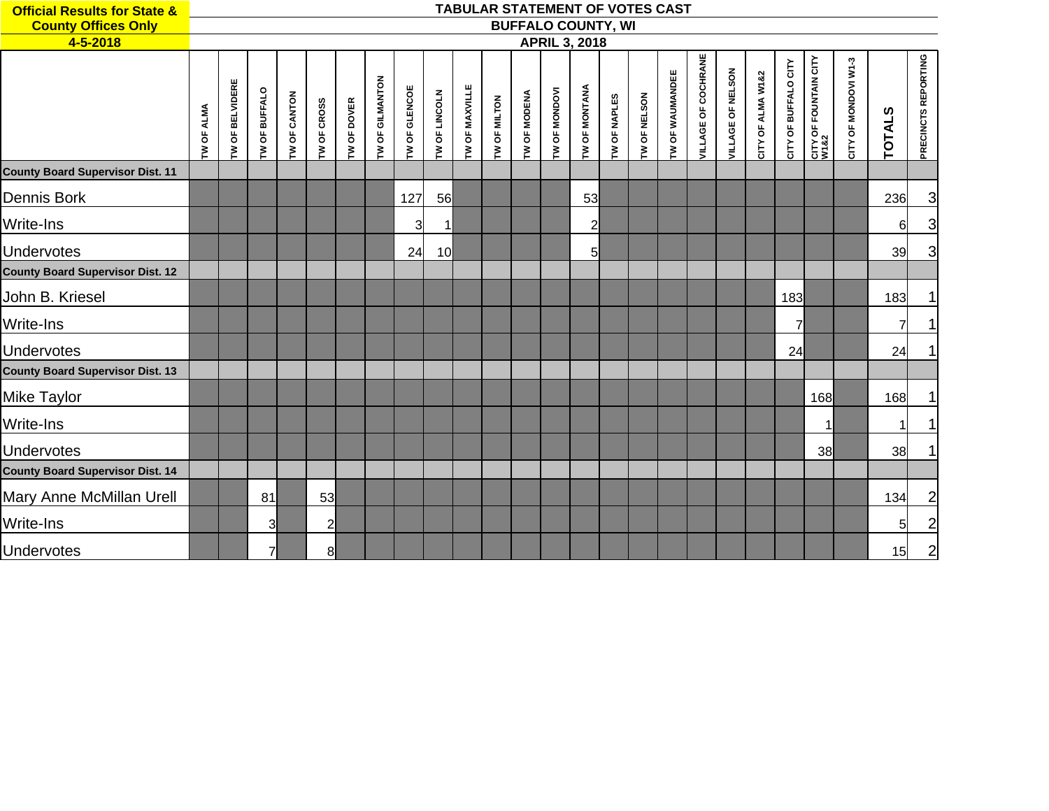| <b>Official Results for State &amp;</b> |                   |                   |               |                     |              |             |                 |                      |               |                       | TABULAR STATEMENT OF VOTES CAST |              |                      |                           |                     |                     |                        |                            |                   |                   |                      |                               |                      |                 |                     |
|-----------------------------------------|-------------------|-------------------|---------------|---------------------|--------------|-------------|-----------------|----------------------|---------------|-----------------------|---------------------------------|--------------|----------------------|---------------------------|---------------------|---------------------|------------------------|----------------------------|-------------------|-------------------|----------------------|-------------------------------|----------------------|-----------------|---------------------|
| <b>County Offices Only</b>              |                   |                   |               |                     |              |             |                 |                      |               |                       |                                 |              |                      | <b>BUFFALO COUNTY, WI</b> |                     |                     |                        |                            |                   |                   |                      |                               |                      |                 |                     |
| 4-5-2018                                |                   |                   |               |                     |              |             |                 |                      |               |                       |                                 |              |                      | <b>APRIL 3, 2018</b>      |                     |                     |                        |                            |                   |                   |                      |                               |                      |                 |                     |
|                                         | <b>TW OF ALMA</b> | OF BELVIDERE<br>Σ | TW OF BUFFALO | <b>TW OF CANTON</b> | TW OF CROSS  | TW OF DOVER | TW OF GILMANTON | <b>TW OF GLENCOE</b> | TW OF LINCOLN | <b>TW OF MAXVILLE</b> | TW OF MILTON                    | TW OF MODENA | <b>TW OF MONDOVI</b> | <b>TW OF MONTANA</b>      | <b>TW OF NAPLES</b> | <b>TW OF NELSON</b> | <b>TW OF WAUMANDEE</b> | <b>VILLAGE OF COCHRANE</b> | VILLAGE OF NELSON | CITY OF ALMA W1&2 | CITY OF BUFFALO CITY | CITY OF FOUNTAIN CITY<br>W1&2 | CITY OF MONDOVI W1-3 | <b>TOTALS</b>   | PRECINCTS REPORTING |
| <b>County Board Supervisor Dist. 11</b> |                   |                   |               |                     |              |             |                 |                      |               |                       |                                 |              |                      |                           |                     |                     |                        |                            |                   |                   |                      |                               |                      |                 |                     |
| Dennis Bork                             |                   |                   |               |                     |              |             |                 | 127                  | 56            |                       |                                 |              |                      | 53                        |                     |                     |                        |                            |                   |                   |                      |                               |                      | 236             | $\mathbf{3}$        |
| <b>Write-Ins</b>                        |                   |                   |               |                     |              |             |                 | $\overline{3}$       | $\mathbf{1}$  |                       |                                 |              |                      | $\mathbf{z}$              |                     |                     |                        |                            |                   |                   |                      |                               |                      | $6 \mid$        | 3                   |
| <b>Undervotes</b>                       |                   |                   |               |                     |              |             |                 | 24                   | 10            |                       |                                 |              |                      | 5                         |                     |                     |                        |                            |                   |                   |                      |                               |                      | 39              | $\mathbf{3}$        |
| <b>County Board Supervisor Dist. 12</b> |                   |                   |               |                     |              |             |                 |                      |               |                       |                                 |              |                      |                           |                     |                     |                        |                            |                   |                   |                      |                               |                      |                 |                     |
| John B. Kriesel                         |                   |                   |               |                     |              |             |                 |                      |               |                       |                                 |              |                      |                           |                     |                     |                        |                            |                   |                   | 183                  |                               |                      | 183             | $\mathbf 1$         |
| <b>Write-Ins</b>                        |                   |                   |               |                     |              |             |                 |                      |               |                       |                                 |              |                      |                           |                     |                     |                        |                            |                   |                   | $\overline{7}$       |                               |                      | $\overline{7}$  | $\mathbf{1}$        |
| Undervotes                              |                   |                   |               |                     |              |             |                 |                      |               |                       |                                 |              |                      |                           |                     |                     |                        |                            |                   |                   | 24                   |                               |                      | 24              | 1                   |
| <b>County Board Supervisor Dist. 13</b> |                   |                   |               |                     |              |             |                 |                      |               |                       |                                 |              |                      |                           |                     |                     |                        |                            |                   |                   |                      |                               |                      |                 |                     |
| Mike Taylor                             |                   |                   |               |                     |              |             |                 |                      |               |                       |                                 |              |                      |                           |                     |                     |                        |                            |                   |                   |                      | 168                           |                      | 168             | 1                   |
| Write-Ins                               |                   |                   |               |                     |              |             |                 |                      |               |                       |                                 |              |                      |                           |                     |                     |                        |                            |                   |                   |                      |                               |                      | $\mathbf 1$     | 1                   |
| <b>Undervotes</b>                       |                   |                   |               |                     |              |             |                 |                      |               |                       |                                 |              |                      |                           |                     |                     |                        |                            |                   |                   |                      | 38                            |                      | 38 <sup>l</sup> | $\mathbf{1}$        |
| <b>County Board Supervisor Dist. 14</b> |                   |                   |               |                     |              |             |                 |                      |               |                       |                                 |              |                      |                           |                     |                     |                        |                            |                   |                   |                      |                               |                      |                 |                     |
| Mary Anne McMillan Urell                |                   |                   | 81            |                     | 53           |             |                 |                      |               |                       |                                 |              |                      |                           |                     |                     |                        |                            |                   |                   |                      |                               |                      | 134             | $\overline{c}$      |
| Write-Ins                               |                   |                   | 3             |                     | $\mathsf{2}$ |             |                 |                      |               |                       |                                 |              |                      |                           |                     |                     |                        |                            |                   |                   |                      |                               |                      | 5 <sup>1</sup>  | $\mathbf{2}$        |
| Undervotes                              |                   |                   | 71            |                     | 8            |             |                 |                      |               |                       |                                 |              |                      |                           |                     |                     |                        |                            |                   |                   |                      |                               |                      | 15              | $\overline{c}$      |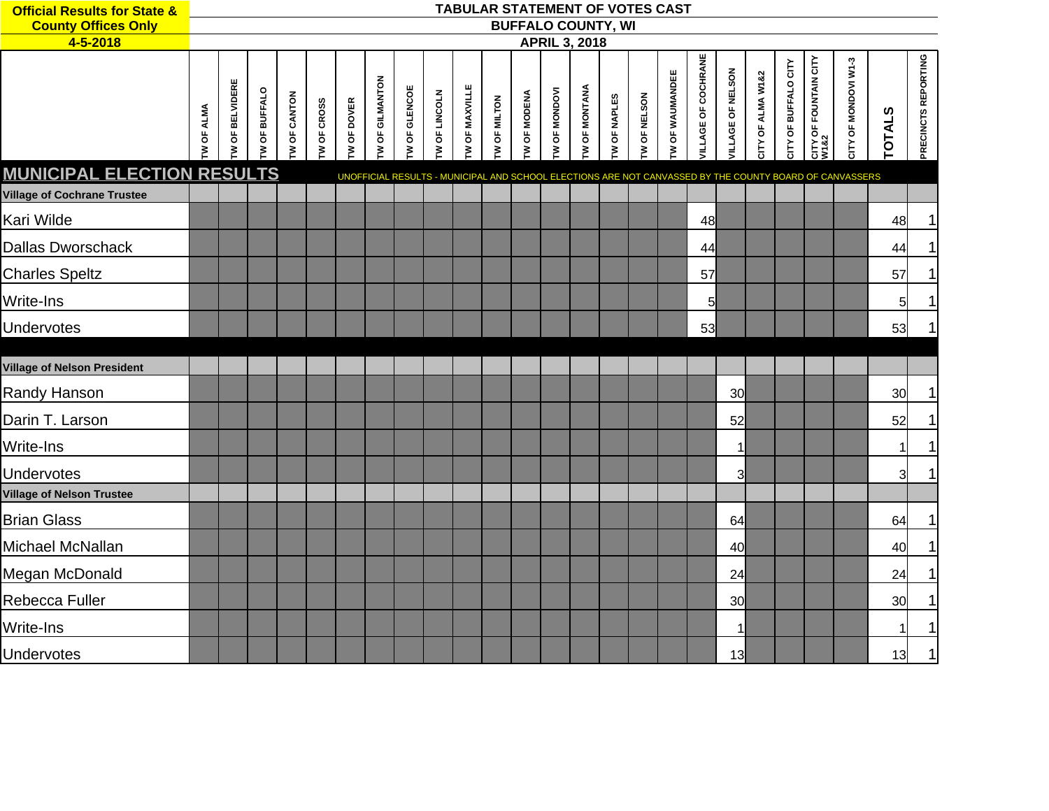| <b>Official Results for State &amp;</b> |           |                |              |                     |                    |                   |                         |              |              | TABULAR STATEMENT OF VOTES CAST |                     |                     |                     |                           |                     |                     |                         |                            |                          |                   |                      |                                      |                                                                                                         |               |                     |
|-----------------------------------------|-----------|----------------|--------------|---------------------|--------------------|-------------------|-------------------------|--------------|--------------|---------------------------------|---------------------|---------------------|---------------------|---------------------------|---------------------|---------------------|-------------------------|----------------------------|--------------------------|-------------------|----------------------|--------------------------------------|---------------------------------------------------------------------------------------------------------|---------------|---------------------|
| <b>County Offices Only</b>              |           |                |              |                     |                    |                   |                         |              |              |                                 |                     |                     |                     | <b>BUFFALO COUNTY, WI</b> |                     |                     |                         |                            |                          |                   |                      |                                      |                                                                                                         |               |                     |
| 4-5-2018                                |           |                |              |                     |                    |                   |                         |              |              |                                 |                     |                     |                     | <b>APRIL 3, 2018</b>      |                     |                     |                         |                            |                          |                   |                      |                                      |                                                                                                         |               |                     |
|                                         | W OF ALMA | W OF BELVIDERE | W OF BUFFALO | <b>TW OF CANTON</b> | <b>TW OF CROSS</b> | <b>W OF DOVER</b> | <b>I'V OF GILMANTON</b> | W OF GLENCOE | W OF LINCOLN | <b>TW OF MAXVILLE</b>           | <b>TW OF MILTON</b> | <b>TW OF MODENA</b> | <b>W OF MONDOVI</b> | <b>TW OF MONTANA</b>      | <b>TW OF NAPLES</b> | <b>TW OF NELSON</b> | <b>I'W OF WAUMANDEE</b> | <b>VILLAGE OF COCHRANE</b> | <b>VILLAGE OF NELSON</b> | CITY OF ALMA W1&2 | CITY OF BUFFALO CITY | <b>CITY OF FOUNTAIN CITY</b><br>W1&2 | CITY OF MONDOVI W1-3                                                                                    | <b>TOTALS</b> | PRECINCTS REPORTING |
| <b>MUNICIPAL ELECTION RESULTS</b>       |           |                |              |                     |                    |                   |                         |              |              |                                 |                     |                     |                     |                           |                     |                     |                         |                            |                          |                   |                      |                                      | UNOFFICIAL RESULTS - MUNICIPAL AND SCHOOL ELECTIONS ARE NOT CANVASSED BY THE COUNTY BOARD OF CANVASSERS |               |                     |
| <b>Village of Cochrane Trustee</b>      |           |                |              |                     |                    |                   |                         |              |              |                                 |                     |                     |                     |                           |                     |                     |                         |                            |                          |                   |                      |                                      |                                                                                                         |               |                     |
| Kari Wilde                              |           |                |              |                     |                    |                   |                         |              |              |                                 |                     |                     |                     |                           |                     |                     |                         | 48                         |                          |                   |                      |                                      |                                                                                                         | 48            |                     |
| <b>Dallas Dworschack</b>                |           |                |              |                     |                    |                   |                         |              |              |                                 |                     |                     |                     |                           |                     |                     |                         | 44                         |                          |                   |                      |                                      |                                                                                                         | 44            |                     |
| <b>Charles Speltz</b>                   |           |                |              |                     |                    |                   |                         |              |              |                                 |                     |                     |                     |                           |                     |                     |                         | 57                         |                          |                   |                      |                                      |                                                                                                         | 57            |                     |
| Write-Ins                               |           |                |              |                     |                    |                   |                         |              |              |                                 |                     |                     |                     |                           |                     |                     |                         | $5\overline{)}$            |                          |                   |                      |                                      |                                                                                                         | $5 \mid$      |                     |
| Undervotes                              |           |                |              |                     |                    |                   |                         |              |              |                                 |                     |                     |                     |                           |                     |                     |                         | 53                         |                          |                   |                      |                                      |                                                                                                         | 53            |                     |
|                                         |           |                |              |                     |                    |                   |                         |              |              |                                 |                     |                     |                     |                           |                     |                     |                         |                            |                          |                   |                      |                                      |                                                                                                         |               |                     |
| <b>Village of Nelson President</b>      |           |                |              |                     |                    |                   |                         |              |              |                                 |                     |                     |                     |                           |                     |                     |                         |                            |                          |                   |                      |                                      |                                                                                                         |               |                     |
| Randy Hanson                            |           |                |              |                     |                    |                   |                         |              |              |                                 |                     |                     |                     |                           |                     |                     |                         |                            | 30                       |                   |                      |                                      |                                                                                                         | 30            |                     |
| Darin T. Larson                         |           |                |              |                     |                    |                   |                         |              |              |                                 |                     |                     |                     |                           |                     |                     |                         |                            | 52                       |                   |                      |                                      |                                                                                                         | 52            |                     |
| Write-Ins                               |           |                |              |                     |                    |                   |                         |              |              |                                 |                     |                     |                     |                           |                     |                     |                         |                            | 1                        |                   |                      |                                      |                                                                                                         | $\mathbf{1}$  |                     |
| Undervotes                              |           |                |              |                     |                    |                   |                         |              |              |                                 |                     |                     |                     |                           |                     |                     |                         |                            | 3                        |                   |                      |                                      |                                                                                                         | 3l            |                     |
| <b>Village of Nelson Trustee</b>        |           |                |              |                     |                    |                   |                         |              |              |                                 |                     |                     |                     |                           |                     |                     |                         |                            |                          |                   |                      |                                      |                                                                                                         |               |                     |
| <b>Brian Glass</b>                      |           |                |              |                     |                    |                   |                         |              |              |                                 |                     |                     |                     |                           |                     |                     |                         |                            | 64                       |                   |                      |                                      |                                                                                                         | 64            |                     |
| Michael McNallan                        |           |                |              |                     |                    |                   |                         |              |              |                                 |                     |                     |                     |                           |                     |                     |                         |                            | 40                       |                   |                      |                                      |                                                                                                         | 40            |                     |
| Megan McDonald                          |           |                |              |                     |                    |                   |                         |              |              |                                 |                     |                     |                     |                           |                     |                     |                         |                            | 24                       |                   |                      |                                      |                                                                                                         | 24            |                     |
| Rebecca Fuller                          |           |                |              |                     |                    |                   |                         |              |              |                                 |                     |                     |                     |                           |                     |                     |                         |                            | 30                       |                   |                      |                                      |                                                                                                         | 30            |                     |
| Write-Ins                               |           |                |              |                     |                    |                   |                         |              |              |                                 |                     |                     |                     |                           |                     |                     |                         |                            | 1                        |                   |                      |                                      |                                                                                                         | 1             |                     |
| Undervotes                              |           |                |              |                     |                    |                   |                         |              |              |                                 |                     |                     |                     |                           |                     |                     |                         |                            | 13                       |                   |                      |                                      |                                                                                                         | 13            | 1                   |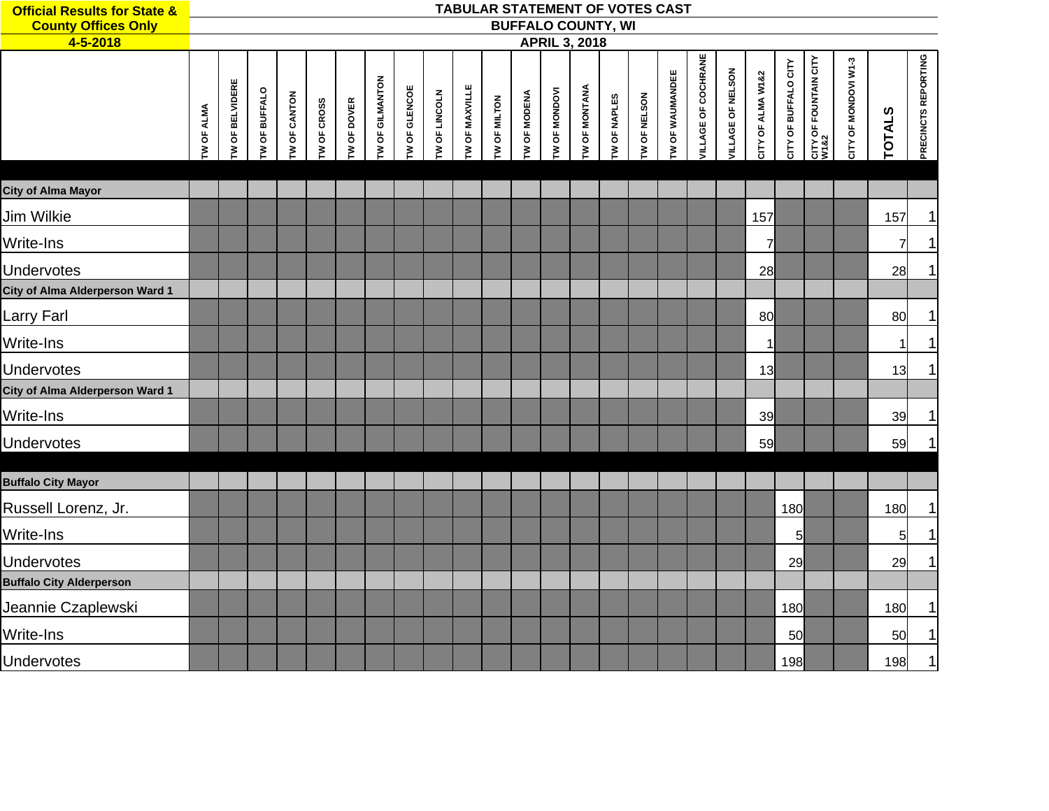| <b>Official Results for State &amp;</b><br><b>County Offices Only</b> |            |                        |               |              |             |             |                 |               |               |                | TABULAR STATEMENT OF VOTES CAST |              | <b>BUFFALO COUNTY, WI</b> |               |              |              |                 |                            |                   |                   |                      |                                           |                      |                |                     |
|-----------------------------------------------------------------------|------------|------------------------|---------------|--------------|-------------|-------------|-----------------|---------------|---------------|----------------|---------------------------------|--------------|---------------------------|---------------|--------------|--------------|-----------------|----------------------------|-------------------|-------------------|----------------------|-------------------------------------------|----------------------|----------------|---------------------|
| $4 - 5 - 2018$                                                        |            |                        |               |              |             |             |                 |               |               |                |                                 |              | <b>APRIL 3, 2018</b>      |               |              |              |                 |                            |                   |                   |                      |                                           |                      |                |                     |
|                                                                       | TW OF ALMA | <b>TW OF BELVIDERE</b> | TW OF BUFFALO | TW OF CANTON | TW OF CROSS | TW OF DOVER | TW OF GILMANTON | TW OF GLENCOE | TW OF LINCOLN | TW OF MAXVILLE | TW OF MILTON                    | TW OF MODENA | TW OF MONDOVI             | TW OF MONTANA | TW OF NAPLES | TW OF NELSON | TW OF WAUMANDEE | <b>VILLAGE OF COCHRANE</b> | VILLAGE OF NELSON | CITY OF ALMA W1&2 | CITY OF BUFFALO CITY | <b>CITY OF FOUNTAIN CITY<br/>W1&amp;2</b> | CITY OF MONDOVI W1-3 | <b>TOTALS</b>  | PRECINCTS REPORTING |
| <b>City of Alma Mayor</b>                                             |            |                        |               |              |             |             |                 |               |               |                |                                 |              |                           |               |              |              |                 |                            |                   |                   |                      |                                           |                      |                |                     |
| Jim Wilkie                                                            |            |                        |               |              |             |             |                 |               |               |                |                                 |              |                           |               |              |              |                 |                            |                   | 157               |                      |                                           |                      | 157            | 1                   |
| Write-Ins                                                             |            |                        |               |              |             |             |                 |               |               |                |                                 |              |                           |               |              |              |                 |                            |                   | $\overline{7}$    |                      |                                           |                      | $\overline{7}$ | 1                   |
| Undervotes                                                            |            |                        |               |              |             |             |                 |               |               |                |                                 |              |                           |               |              |              |                 |                            |                   | 28                |                      |                                           |                      | 28             | 1                   |
| City of Alma Alderperson Ward 1                                       |            |                        |               |              |             |             |                 |               |               |                |                                 |              |                           |               |              |              |                 |                            |                   |                   |                      |                                           |                      |                |                     |
| Larry Farl                                                            |            |                        |               |              |             |             |                 |               |               |                |                                 |              |                           |               |              |              |                 |                            |                   | 80                |                      |                                           |                      | 80             |                     |
| Write-Ins                                                             |            |                        |               |              |             |             |                 |               |               |                |                                 |              |                           |               |              |              |                 |                            |                   | 1                 |                      |                                           |                      | 1              |                     |
| Undervotes                                                            |            |                        |               |              |             |             |                 |               |               |                |                                 |              |                           |               |              |              |                 |                            |                   | 13                |                      |                                           |                      | 13             |                     |
| City of Alma Alderperson Ward 1                                       |            |                        |               |              |             |             |                 |               |               |                |                                 |              |                           |               |              |              |                 |                            |                   |                   |                      |                                           |                      |                |                     |
| Write-Ins                                                             |            |                        |               |              |             |             |                 |               |               |                |                                 |              |                           |               |              |              |                 |                            |                   | 39                |                      |                                           |                      | 39             |                     |
| Undervotes                                                            |            |                        |               |              |             |             |                 |               |               |                |                                 |              |                           |               |              |              |                 |                            |                   | 59                |                      |                                           |                      | 59             |                     |
| <b>Buffalo City Mayor</b>                                             |            |                        |               |              |             |             |                 |               |               |                |                                 |              |                           |               |              |              |                 |                            |                   |                   |                      |                                           |                      |                |                     |
| Russell Lorenz, Jr.                                                   |            |                        |               |              |             |             |                 |               |               |                |                                 |              |                           |               |              |              |                 |                            |                   |                   | 180                  |                                           |                      | 180            | 1                   |
| Write-Ins                                                             |            |                        |               |              |             |             |                 |               |               |                |                                 |              |                           |               |              |              |                 |                            |                   |                   | $5\overline{)}$      |                                           |                      | 5              | 1                   |
| <b>Undervotes</b>                                                     |            |                        |               |              |             |             |                 |               |               |                |                                 |              |                           |               |              |              |                 |                            |                   |                   | 29                   |                                           |                      | 29             | 1                   |
| <b>Buffalo City Alderperson</b>                                       |            |                        |               |              |             |             |                 |               |               |                |                                 |              |                           |               |              |              |                 |                            |                   |                   |                      |                                           |                      |                |                     |
| Jeannie Czaplewski                                                    |            |                        |               |              |             |             |                 |               |               |                |                                 |              |                           |               |              |              |                 |                            |                   |                   | 180                  |                                           |                      | 180            |                     |
| Write-Ins                                                             |            |                        |               |              |             |             |                 |               |               |                |                                 |              |                           |               |              |              |                 |                            |                   |                   | 50                   |                                           |                      | 50             | 1                   |
| <b>Undervotes</b>                                                     |            |                        |               |              |             |             |                 |               |               |                |                                 |              |                           |               |              |              |                 |                            |                   |                   | 198                  |                                           |                      | 198            | $\mathbf{1}$        |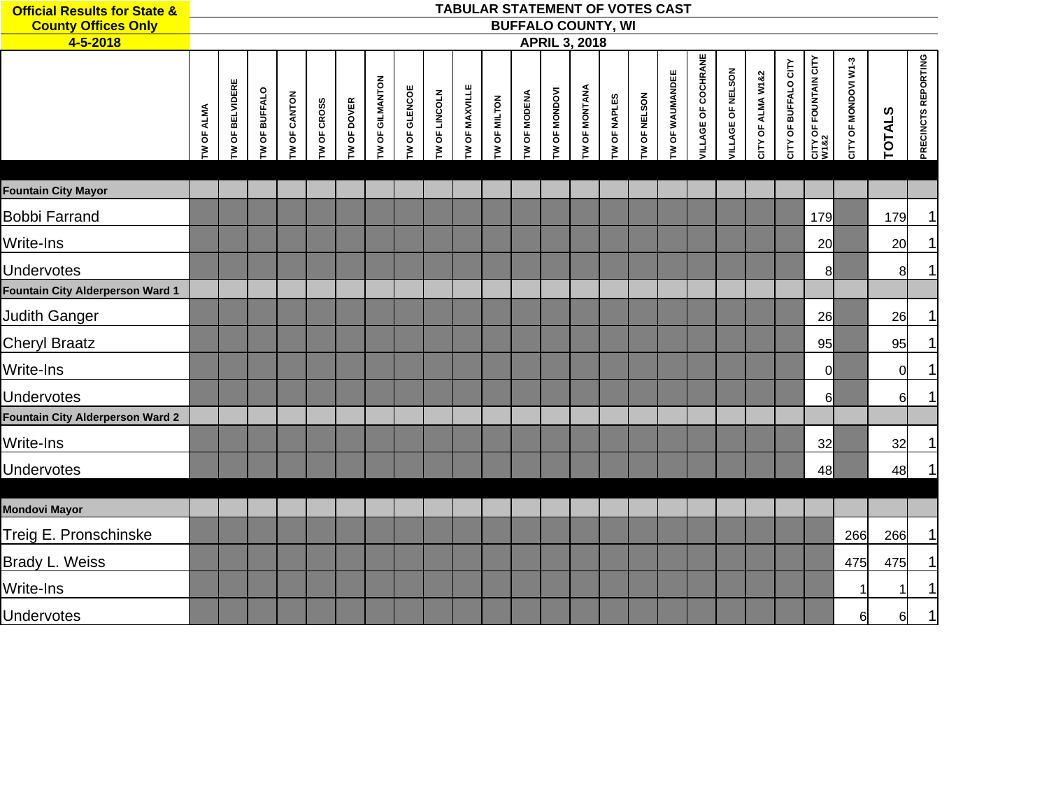| <b>Official Results for State &amp;</b> |                   |                   |                      |                     |                    |                    |                 |                      |                      |                       |                     |                      |                       |                       | TABULAR STATEMENT OF VOTES CAST |                     |                        |                     |                   |                   |                       |                                      |                      |               |                     |
|-----------------------------------------|-------------------|-------------------|----------------------|---------------------|--------------------|--------------------|-----------------|----------------------|----------------------|-----------------------|---------------------|----------------------|-----------------------|-----------------------|---------------------------------|---------------------|------------------------|---------------------|-------------------|-------------------|-----------------------|--------------------------------------|----------------------|---------------|---------------------|
| <b>County Offices Only</b>              |                   |                   |                      |                     |                    |                    |                 |                      |                      |                       |                     |                      |                       |                       | <b>BUFFALO COUNTY, WI</b>       |                     |                        |                     |                   |                   |                       |                                      |                      |               |                     |
| 4-5-2018                                |                   |                   |                      |                     |                    |                    |                 |                      |                      |                       |                     |                      | <b>APRIL 3, 2018</b>  |                       |                                 |                     |                        |                     |                   |                   |                       |                                      |                      |               |                     |
|                                         | <b>TW OF ALMA</b> | OF BELVIDERE<br>₹ | <b>IW OF BUFFALO</b> | <b>TW OF CANTON</b> | <b>TW OF CROSS</b> | <b>TW OF DOVER</b> | TW OF GILMANTON | <b>TW OF GLENCOE</b> | <b>TW OF LINCOLN</b> | <b>TW OF MAXVILLE</b> | <b>TW OF MILTON</b> | <b>I'V OF MODENA</b> | <b>I'V OF MONDOVI</b> | <b>I'V OF MONTANA</b> | <b>TW OF NAPLES</b>             | <b>TW OF NELSON</b> | <b>TW OF WAUMANDEE</b> | VILLAGE OF COCHRANE | VILLAGE OF NELSON | CITY OF ALMA W1&2 | OF BUFFALO CITY<br>ξĒ | <b>CITY OF FOUNTAIN CITY</b><br>W1&2 | CITY OF MONDOVI W1-3 | <b>TOTALS</b> | PRECINCTS REPORTING |
| <b>Fountain City Mayor</b>              |                   |                   |                      |                     |                    |                    |                 |                      |                      |                       |                     |                      |                       |                       |                                 |                     |                        |                     |                   |                   |                       |                                      |                      |               |                     |
| <b>Bobbi Farrand</b>                    |                   |                   |                      |                     |                    |                    |                 |                      |                      |                       |                     |                      |                       |                       |                                 |                     |                        |                     |                   |                   |                       | 179                                  |                      | 179           | 1                   |
| Write-Ins                               |                   |                   |                      |                     |                    |                    |                 |                      |                      |                       |                     |                      |                       |                       |                                 |                     |                        |                     |                   |                   |                       | 20                                   |                      | 20            |                     |
| <b>Undervotes</b>                       |                   |                   |                      |                     |                    |                    |                 |                      |                      |                       |                     |                      |                       |                       |                                 |                     |                        |                     |                   |                   |                       | 8                                    |                      | 8             |                     |
| <b>Fountain City Alderperson Ward 1</b> |                   |                   |                      |                     |                    |                    |                 |                      |                      |                       |                     |                      |                       |                       |                                 |                     |                        |                     |                   |                   |                       |                                      |                      |               |                     |
| <b>Judith Ganger</b>                    |                   |                   |                      |                     |                    |                    |                 |                      |                      |                       |                     |                      |                       |                       |                                 |                     |                        |                     |                   |                   |                       | 26                                   |                      | 26            |                     |
| <b>Cheryl Braatz</b>                    |                   |                   |                      |                     |                    |                    |                 |                      |                      |                       |                     |                      |                       |                       |                                 |                     |                        |                     |                   |                   |                       | 95                                   |                      | 95            | 1                   |
| Write-Ins                               |                   |                   |                      |                     |                    |                    |                 |                      |                      |                       |                     |                      |                       |                       |                                 |                     |                        |                     |                   |                   |                       | $\overline{0}$                       |                      | $\mathbf 0$   | 1                   |
| <b>Undervotes</b>                       |                   |                   |                      |                     |                    |                    |                 |                      |                      |                       |                     |                      |                       |                       |                                 |                     |                        |                     |                   |                   |                       | $6 \mid$                             |                      | 6             | 1                   |
| <b>Fountain City Alderperson Ward 2</b> |                   |                   |                      |                     |                    |                    |                 |                      |                      |                       |                     |                      |                       |                       |                                 |                     |                        |                     |                   |                   |                       |                                      |                      |               |                     |
| Write-Ins                               |                   |                   |                      |                     |                    |                    |                 |                      |                      |                       |                     |                      |                       |                       |                                 |                     |                        |                     |                   |                   |                       | 32                                   |                      | 32            | 1                   |
| <b>Undervotes</b>                       |                   |                   |                      |                     |                    |                    |                 |                      |                      |                       |                     |                      |                       |                       |                                 |                     |                        |                     |                   |                   |                       | 48                                   |                      | 48            | 1                   |
|                                         |                   |                   |                      |                     |                    |                    |                 |                      |                      |                       |                     |                      |                       |                       |                                 |                     |                        |                     |                   |                   |                       |                                      |                      |               |                     |
| <b>Mondovi Mayor</b>                    |                   |                   |                      |                     |                    |                    |                 |                      |                      |                       |                     |                      |                       |                       |                                 |                     |                        |                     |                   |                   |                       |                                      |                      |               |                     |
| Treig E. Pronschinske                   |                   |                   |                      |                     |                    |                    |                 |                      |                      |                       |                     |                      |                       |                       |                                 |                     |                        |                     |                   |                   |                       |                                      | 266                  | 266           | $\mathbf{1}$        |
| Brady L. Weiss                          |                   |                   |                      |                     |                    |                    |                 |                      |                      |                       |                     |                      |                       |                       |                                 |                     |                        |                     |                   |                   |                       |                                      | 475                  | 475           |                     |
| Write-Ins                               |                   |                   |                      |                     |                    |                    |                 |                      |                      |                       |                     |                      |                       |                       |                                 |                     |                        |                     |                   |                   |                       |                                      | 1                    | 1             | 1                   |
| <b>Undervotes</b>                       |                   |                   |                      |                     |                    |                    |                 |                      |                      |                       |                     |                      |                       |                       |                                 |                     |                        |                     |                   |                   |                       |                                      | 6                    | 6             | 1                   |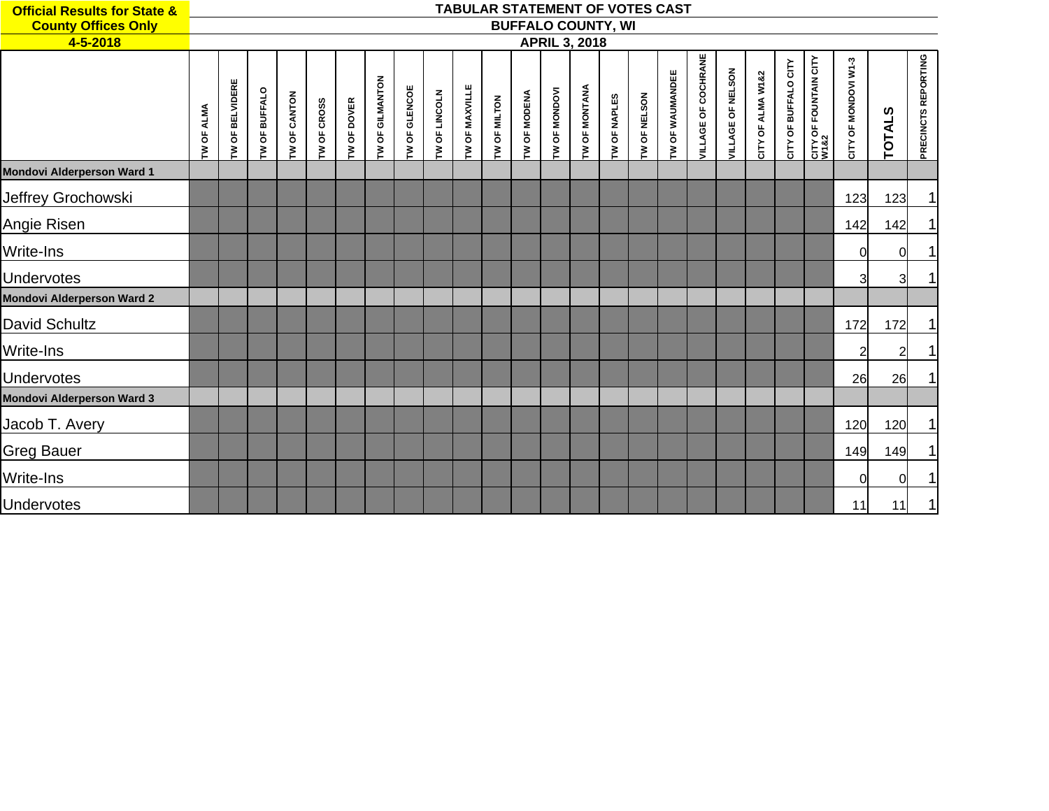| <b>Official Results for State &amp;</b> |                   |                   |                 |              |                    |               |                 |               |                        |                | <b>TABULAR STATEMENT OF VOTES CAST</b> |                |                      |                      |                           |              |                 |                            |                   |                   |                      |                               |                      |                |                     |
|-----------------------------------------|-------------------|-------------------|-----------------|--------------|--------------------|---------------|-----------------|---------------|------------------------|----------------|----------------------------------------|----------------|----------------------|----------------------|---------------------------|--------------|-----------------|----------------------------|-------------------|-------------------|----------------------|-------------------------------|----------------------|----------------|---------------------|
| <b>County Offices Only</b>              |                   |                   |                 |              |                    |               |                 |               |                        |                |                                        |                |                      |                      | <b>BUFFALO COUNTY, WI</b> |              |                 |                            |                   |                   |                      |                               |                      |                |                     |
| 4-5-2018                                |                   |                   |                 |              |                    |               |                 |               |                        |                |                                        |                | <b>APRIL 3, 2018</b> |                      |                           |              |                 |                            |                   |                   |                      |                               |                      |                |                     |
|                                         | <b>TW OF ALMA</b> | OF BELVIDERE<br>Σ | OF BUFFALO<br>ξ | TW OF CANTON | <b>TW OF CROSS</b> | OF DOVER<br>ξ | TW OF GILMANTON | TW OF GLENCOE | <b>OF LINCOLN</b><br>ξ | TW OF MAXVILLE | TW OF MILTON                           | OF MODENA<br>ξ | TW OF MONDOVI        | <b>TW OF MONTANA</b> | TW OF NAPLES              | TW OF NELSON | TW OF WAUMANDEE | <b>VILLAGE OF COCHRANE</b> | VILLAGE OF NELSON | CITY OF ALMA W1&2 | CITY OF BUFFALO CITY | CITY OF FOUNTAIN CITY<br>W1&2 | CITY OF MONDOVI W1-3 | <b>TOTALS</b>  | PRECINCTS REPORTING |
| <b>Mondovi Alderperson Ward 1</b>       |                   |                   |                 |              |                    |               |                 |               |                        |                |                                        |                |                      |                      |                           |              |                 |                            |                   |                   |                      |                               |                      |                |                     |
| Jeffrey Grochowski                      |                   |                   |                 |              |                    |               |                 |               |                        |                |                                        |                |                      |                      |                           |              |                 |                            |                   |                   |                      |                               | 123                  | 123            | 1                   |
| Angie Risen                             |                   |                   |                 |              |                    |               |                 |               |                        |                |                                        |                |                      |                      |                           |              |                 |                            |                   |                   |                      |                               | 142                  | 142            | 1                   |
| Write-Ins                               |                   |                   |                 |              |                    |               |                 |               |                        |                |                                        |                |                      |                      |                           |              |                 |                            |                   |                   |                      |                               | 0l                   | $\Omega$       | $\mathbf{1}$        |
| Undervotes                              |                   |                   |                 |              |                    |               |                 |               |                        |                |                                        |                |                      |                      |                           |              |                 |                            |                   |                   |                      |                               | 3                    | $\overline{3}$ | $\mathbf{1}$        |
| <b>Mondovi Alderperson Ward 2</b>       |                   |                   |                 |              |                    |               |                 |               |                        |                |                                        |                |                      |                      |                           |              |                 |                            |                   |                   |                      |                               |                      |                |                     |
| David Schultz                           |                   |                   |                 |              |                    |               |                 |               |                        |                |                                        |                |                      |                      |                           |              |                 |                            |                   |                   |                      |                               | 172                  | 172            | $\mathbf{1}$        |
| Write-Ins                               |                   |                   |                 |              |                    |               |                 |               |                        |                |                                        |                |                      |                      |                           |              |                 |                            |                   |                   |                      |                               | $\overline{2}$       | $\overline{2}$ | $\mathbf{1}$        |
| Undervotes                              |                   |                   |                 |              |                    |               |                 |               |                        |                |                                        |                |                      |                      |                           |              |                 |                            |                   |                   |                      |                               | 26                   | 26             | $\mathbf{1}$        |
| <b>Mondovi Alderperson Ward 3</b>       |                   |                   |                 |              |                    |               |                 |               |                        |                |                                        |                |                      |                      |                           |              |                 |                            |                   |                   |                      |                               |                      |                |                     |
| Jacob T. Avery                          |                   |                   |                 |              |                    |               |                 |               |                        |                |                                        |                |                      |                      |                           |              |                 |                            |                   |                   |                      |                               | 120                  | 120            | 1                   |
| <b>Greg Bauer</b>                       |                   |                   |                 |              |                    |               |                 |               |                        |                |                                        |                |                      |                      |                           |              |                 |                            |                   |                   |                      |                               | 149                  | 149            | 1                   |
| Write-Ins                               |                   |                   |                 |              |                    |               |                 |               |                        |                |                                        |                |                      |                      |                           |              |                 |                            |                   |                   |                      |                               | $\Omega$             | $\overline{0}$ | 1                   |
| <b>Undervotes</b>                       |                   |                   |                 |              |                    |               |                 |               |                        |                |                                        |                |                      |                      |                           |              |                 |                            |                   |                   |                      |                               | 11                   | 11             | 1                   |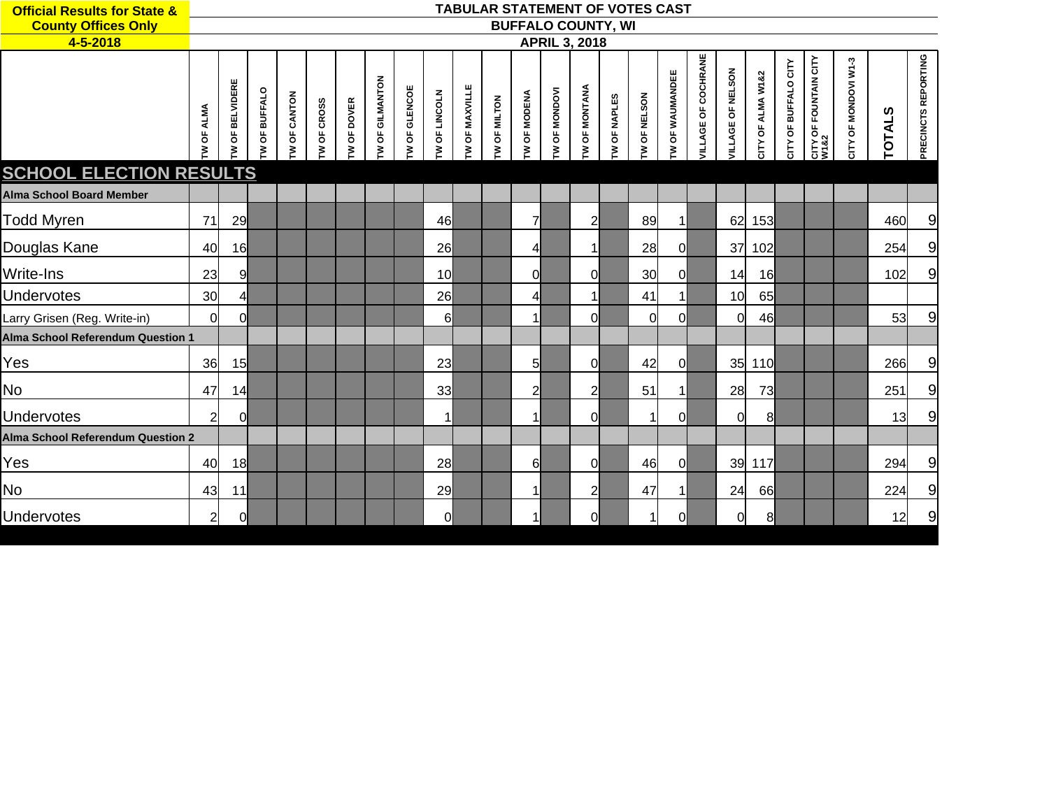| <b>Official Results for State &amp;</b>  |                     |                |                 |                     |            |               |                        |              |                        |                | <b>TABULAR STATEMENT OF VOTES CAST</b> |                           |                      |                      |                |              |                        |                            |                   |                   |                                |                                      |                      |               |                     |
|------------------------------------------|---------------------|----------------|-----------------|---------------------|------------|---------------|------------------------|--------------|------------------------|----------------|----------------------------------------|---------------------------|----------------------|----------------------|----------------|--------------|------------------------|----------------------------|-------------------|-------------------|--------------------------------|--------------------------------------|----------------------|---------------|---------------------|
| <b>County Offices Only</b>               |                     |                |                 |                     |            |               |                        |              |                        |                |                                        | <b>BUFFALO COUNTY, WI</b> |                      |                      |                |              |                        |                            |                   |                   |                                |                                      |                      |               |                     |
| 4-5-2018                                 |                     |                |                 |                     |            |               |                        |              |                        |                |                                        |                           |                      | <b>APRIL 3, 2018</b> |                |              |                        |                            |                   |                   |                                |                                      |                      |               |                     |
|                                          | <b>ALMA</b><br>W OF | OF BELVIDERE   | OF BUFFALO<br>₹ | <b>IW OF CANTON</b> | W OF CROSS | OF DOVER<br>ξ | <b>TW OF GILMANTON</b> | W OF GLENCOE | <b>OF LINCOLN</b><br>ξ | TW OF MAXVILLE | <b>TW OF MILTON</b>                    | OF MODENA<br>₹            | <b>TW OF MONDOVI</b> | <b>W OF MONTANA</b>  | OF NAPLES<br>Σ | TW OF NELSON | <b>TW OF WAUMANDEE</b> | <b>VILLAGE OF COCHRANE</b> | VILLAGE OF NELSON | CITY OF ALMA W1&2 | OF BUFFALO CITY<br><b>CITY</b> | <b>CITY OF FOUNTAIN CITY</b><br>W1&2 | CITY OF MONDOVI W1-3 | <b>TOTALS</b> | PRECINCTS REPORTING |
| <b>SCHOOL ELECTION RESULTS</b>           |                     |                |                 |                     |            |               |                        |              |                        |                |                                        |                           |                      |                      |                |              |                        |                            |                   |                   |                                |                                      |                      |               |                     |
| <b>Alma School Board Member</b>          |                     |                |                 |                     |            |               |                        |              |                        |                |                                        |                           |                      |                      |                |              |                        |                            |                   |                   |                                |                                      |                      |               |                     |
| <b>Todd Myren</b>                        | 71                  | 29             |                 |                     |            |               |                        |              | 46                     |                |                                        | $\overline{7}$            |                      | $\overline{2}$       |                | 89           | $\mathbf{1}$           |                            | 62                | 153               |                                |                                      |                      | 460           | 9                   |
| Douglas Kane                             | 40                  | 16             |                 |                     |            |               |                        |              | 26                     |                |                                        | $\overline{4}$            |                      | $\mathbf{1}$         |                | 28           | $\overline{0}$         |                            | 37                | 102               |                                |                                      |                      | 254           | $\overline{9}$      |
| Write-Ins                                | 23                  | 9              |                 |                     |            |               |                        |              | 10 <sup>1</sup>        |                |                                        | 0l                        |                      | <sub>0</sub>         |                | 30           | <sup>o</sup>           |                            | 14                | 16                |                                |                                      |                      | 102           | $\overline{9}$      |
| <b>Undervotes</b>                        | 30                  | 4 <sup>1</sup> |                 |                     |            |               |                        |              | 26                     |                |                                        | $\overline{4}$            |                      | 1                    |                | 41           | $\mathbf{1}$           |                            | 10                | 65                |                                |                                      |                      |               |                     |
| Larry Grisen (Reg. Write-in)             | $\Omega$            | <sub>0</sub>   |                 |                     |            |               |                        |              | 6                      |                |                                        | $\mathbf{1}$              |                      | 0l                   |                | 0            | 0l                     |                            | 0                 | 46                |                                |                                      |                      | 53            | $\overline{9}$      |
| Alma School Referendum Question 1        |                     |                |                 |                     |            |               |                        |              |                        |                |                                        |                           |                      |                      |                |              |                        |                            |                   |                   |                                |                                      |                      |               |                     |
| Yes                                      | 36                  | 15             |                 |                     |            |               |                        |              | 23                     |                |                                        | $5 \mid$                  |                      | <sub>0</sub>         |                | 42           | <sub>0</sub>           |                            | 35                | 110               |                                |                                      |                      | 266           | 9                   |
| <b>No</b>                                | 47                  | 14             |                 |                     |            |               |                        |              | 33                     |                |                                        | $\overline{2}$            |                      | $\overline{2}$       |                | 51           | $\vert$                |                            | 28                | 73                |                                |                                      |                      | 251           | $\overline{9}$      |
| Undervotes                               | $\overline{2}$      | $\overline{0}$ |                 |                     |            |               |                        |              | 1                      |                |                                        | $\vert$ 1                 |                      | <sub>0</sub>         |                |              | <sub>0</sub>           |                            | 0                 | 8                 |                                |                                      |                      | 13            | 9                   |
| <b>Alma School Referendum Question 2</b> |                     |                |                 |                     |            |               |                        |              |                        |                |                                        |                           |                      |                      |                |              |                        |                            |                   |                   |                                |                                      |                      |               |                     |
| Yes                                      | 40                  | 18             |                 |                     |            |               |                        |              | 28                     |                |                                        | $6 \mid$                  |                      | 0l                   |                | 46           | 0l                     |                            | 39                | 117               |                                |                                      |                      | 294           | $\overline{9}$      |
| <b>No</b>                                | 43                  | 11             |                 |                     |            |               |                        |              | 29                     |                |                                        | $\vert$ 1                 |                      | $\overline{2}$       |                | 47           | $\mathbf{1}$           |                            | 24                | 66                |                                |                                      |                      | 224           | $\overline{9}$      |
| <b>Undervotes</b>                        | $\overline{2}$      | 0l             |                 |                     |            |               |                        |              | <sub>0</sub>           |                |                                        | $\vert$ 1                 |                      | 0l                   |                |              | <sub>0</sub>           |                            | 0                 | 8                 |                                |                                      |                      | 12            | $\overline{9}$      |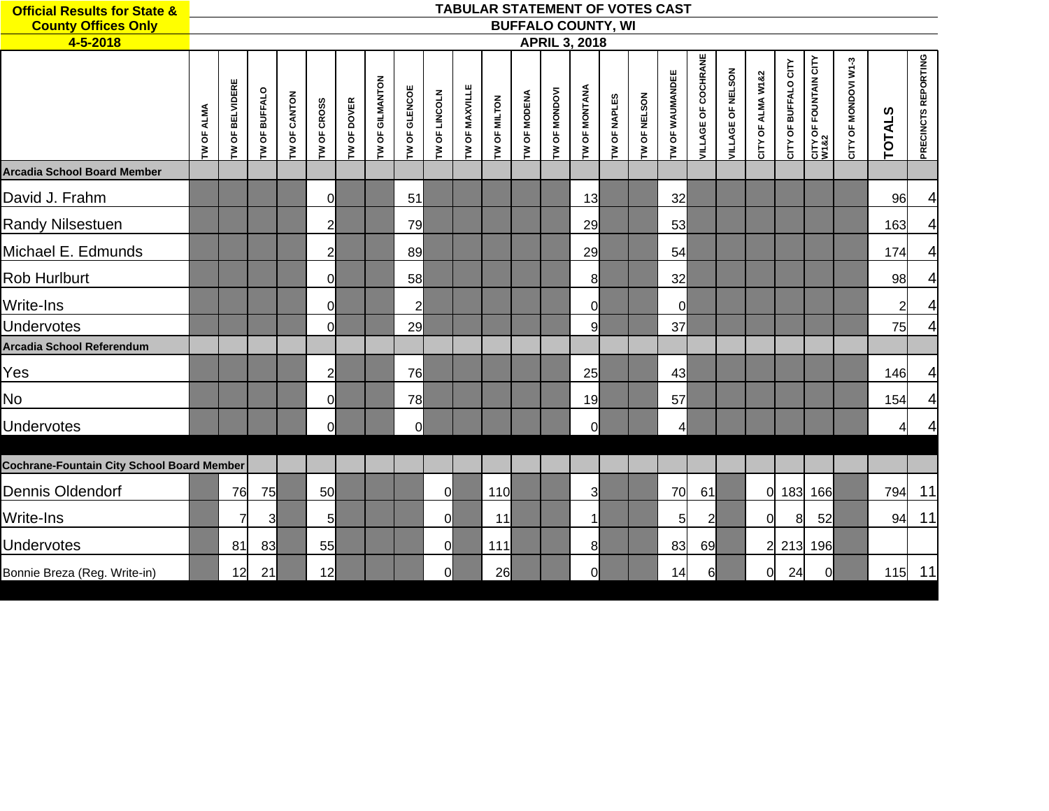| <b>Official Results for State &amp;</b>           |                    |                        |                      |                     |                    |                    |                        |                |               |                |              |                     |               |                           |                     |              | <b>TABULAR STATEMENT OF VOTES CAST</b> |                            |                   |                   |                      |                               |                      |                |                     |
|---------------------------------------------------|--------------------|------------------------|----------------------|---------------------|--------------------|--------------------|------------------------|----------------|---------------|----------------|--------------|---------------------|---------------|---------------------------|---------------------|--------------|----------------------------------------|----------------------------|-------------------|-------------------|----------------------|-------------------------------|----------------------|----------------|---------------------|
| <b>County Offices Only</b>                        |                    |                        |                      |                     |                    |                    |                        |                |               |                |              |                     |               | <b>BUFFALO COUNTY, WI</b> |                     |              |                                        |                            |                   |                   |                      |                               |                      |                |                     |
| 4-5-2018                                          |                    |                        |                      |                     |                    |                    |                        |                |               |                |              |                     |               | <b>APRIL 3, 2018</b>      |                     |              |                                        |                            |                   |                   |                      |                               |                      |                |                     |
|                                                   | <b>I'V OF ALMA</b> | <b>TW OF BELVIDERE</b> | <b>TW OF BUFFALO</b> | <b>TW OF CANTON</b> | <b>TW OF CROSS</b> | <b>TW OF DOVER</b> | <b>TW OF GILMANTON</b> | TW OF GLENCOE  | TW OF LINCOLN | TW OF MAXVILLE | TW OF MILTON | <b>TW OF MODENA</b> | TW OF MONDOVI | TW OF MONTANA             | <b>TW OF NAPLES</b> | TW OF NELSON | TW OF WAUMANDEE                        | <b>VILLAGE OF COCHRANE</b> | VILLAGE OF NELSON | CITY OF ALMA W182 | CITY OF BUFFALO CITY | CITY OF FOUNTAIN CITY<br>W1&2 | CITY OF MONDOVI W1-3 | <b>TOTALS</b>  | PRECINCTS REPORTING |
| <b>Arcadia School Board Member</b>                |                    |                        |                      |                     |                    |                    |                        |                |               |                |              |                     |               |                           |                     |              |                                        |                            |                   |                   |                      |                               |                      |                |                     |
| David J. Frahm                                    |                    |                        |                      |                     | 이                  |                    |                        | 51             |               |                |              |                     |               | 13                        |                     |              | 32                                     |                            |                   |                   |                      |                               |                      | 96             | 4                   |
| Randy Nilsestuen                                  |                    |                        |                      |                     | $\overline{2}$     |                    |                        | 79             |               |                |              |                     |               | 29                        |                     |              | 53                                     |                            |                   |                   |                      |                               |                      | 163            | 4                   |
| Michael E. Edmunds                                |                    |                        |                      |                     | $\overline{2}$     |                    |                        | 89             |               |                |              |                     |               | 29                        |                     |              | 54                                     |                            |                   |                   |                      |                               |                      | 174            | 4                   |
| Rob Hurlburt                                      |                    |                        |                      |                     | <sub>0</sub>       |                    |                        | 58             |               |                |              |                     |               | 8                         |                     |              | 32                                     |                            |                   |                   |                      |                               |                      | 98             | 4                   |
| Write-Ins                                         |                    |                        |                      |                     | 0                  |                    |                        | $\overline{2}$ |               |                |              |                     |               | $\overline{0}$            |                     |              | $\overline{0}$                         |                            |                   |                   |                      |                               |                      | $\overline{2}$ | 4                   |
| <b>Undervotes</b>                                 |                    |                        |                      |                     | 0l                 |                    |                        | 29             |               |                |              |                     |               | 9                         |                     |              | 37                                     |                            |                   |                   |                      |                               |                      | 75             | $\overline{4}$      |
| <b>Arcadia School Referendum</b>                  |                    |                        |                      |                     |                    |                    |                        |                |               |                |              |                     |               |                           |                     |              |                                        |                            |                   |                   |                      |                               |                      |                |                     |
| Yes                                               |                    |                        |                      |                     | $\overline{2}$     |                    |                        | 76             |               |                |              |                     |               | 25                        |                     |              | 43                                     |                            |                   |                   |                      |                               |                      | 146            | 4                   |
| No                                                |                    |                        |                      |                     | 0                  |                    |                        | 78             |               |                |              |                     |               | 19                        |                     |              | 57                                     |                            |                   |                   |                      |                               |                      | 154            | 4                   |
| Undervotes                                        |                    |                        |                      |                     | <sub>0</sub>       |                    |                        | 0              |               |                |              |                     |               | $\mathcal{O}$             |                     |              | $\overline{4}$                         |                            |                   |                   |                      |                               |                      | 41             | 4                   |
| <b>Cochrane-Fountain City School Board Member</b> |                    |                        |                      |                     |                    |                    |                        |                |               |                |              |                     |               |                           |                     |              |                                        |                            |                   |                   |                      |                               |                      |                |                     |
|                                                   |                    |                        |                      |                     |                    |                    |                        |                |               |                |              |                     |               |                           |                     |              |                                        |                            |                   |                   |                      |                               |                      |                |                     |
| Dennis Oldendorf                                  |                    | 76                     | 75                   |                     | <b>50</b>          |                    |                        |                | 0l            |                | 110          |                     |               | $\overline{3}$            |                     |              | 70                                     | 61                         |                   |                   |                      | 0 183 166                     |                      | 794            | 11                  |
| Write-Ins                                         |                    | 7                      | $\overline{3}$       |                     | $5 \mid$           |                    |                        |                | <sup>0</sup>  |                | 11           |                     |               | $\mathbf{1}$              |                     |              | $5\overline{)}$                        | $\overline{a}$             |                   | $\overline{0}$    | 8 <sup>1</sup>       | 52                            |                      | 94             | 11                  |
| Undervotes                                        |                    | 81                     | 83                   |                     | 55                 |                    |                        |                | <sup>0</sup>  |                | 111          |                     |               | 8                         |                     |              | 83                                     | 69                         |                   |                   |                      | 2 213 196                     |                      |                |                     |
| Bonnie Breza (Reg. Write-in)                      |                    | 12                     | 21                   |                     | 12                 |                    |                        |                | <sup>0</sup>  |                | 26           |                     |               | 0l                        |                     |              | 14                                     | 6                          |                   | $\overline{0}$    | 24                   | $\Omega$                      |                      | 115            | 11                  |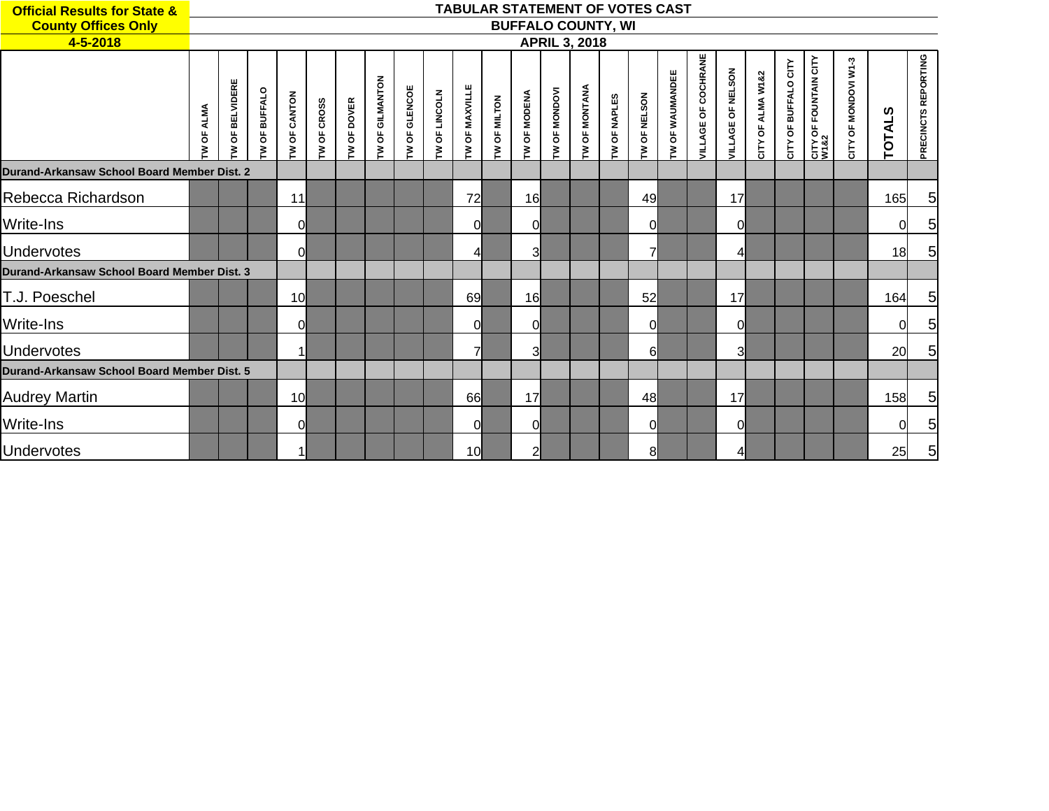| <b>Official Results for State &amp;</b>     |              |                    |                          |                 |               |               |                   |                 |                 |                  |                |                         |                 |                           |                       | <b>TABULAR STATEMENT OF VOTES CAST</b> |                   |                        |                   |                   |                                                      |                               |                                |               |                     |
|---------------------------------------------|--------------|--------------------|--------------------------|-----------------|---------------|---------------|-------------------|-----------------|-----------------|------------------|----------------|-------------------------|-----------------|---------------------------|-----------------------|----------------------------------------|-------------------|------------------------|-------------------|-------------------|------------------------------------------------------|-------------------------------|--------------------------------|---------------|---------------------|
| <b>County Offices Only</b>                  |              |                    |                          |                 |               |               |                   |                 |                 |                  |                |                         |                 | <b>BUFFALO COUNTY, WI</b> |                       |                                        |                   |                        |                   |                   |                                                      |                               |                                |               |                     |
| 4-5-2018                                    |              |                    |                          |                 |               |               |                   |                 |                 |                  |                |                         |                 | <b>APRIL 3, 2018</b>      |                       |                                        |                   |                        |                   |                   |                                                      |                               |                                |               |                     |
|                                             | OF ALMA<br>ξ | OF BELVIDERE<br>s. | <b>BUFFALO</b><br>ზ<br>ξ | OF CANTON<br>Σ  | OF CROSS<br>ξ | OF DOVER<br>ξ | OF GILMANTON<br>È | OF GLENCOE<br>ξ | OF LINCOLN<br>ξ | OF MAXVILLE<br>Σ | OF MILTON<br>ξ | OF MODENA<br>ξ          | OF MONDOVI<br>Σ | <b>OF MONTANA</b><br>Š.   | <b>OF NAPLES</b><br>ξ | <b>I'V OF NELSON</b>                   | OF WAUMANDEE<br>ξ | OF COCHRANE<br>VILLAGE | VILLAGE OF NELSON | CITY OF ALMA W1&2 | OF BUFFALO CITY<br>$\mathop{\mathsf{C}\mathsf{irr}}$ | CITY OF FOUNTAIN CITY<br>W1&2 | OF MONDOVI W1-3<br><b>CITY</b> | <b>TOTALS</b> | PRECINCTS REPORTING |
| Durand-Arkansaw School Board Member Dist. 2 |              |                    |                          |                 |               |               |                   |                 |                 |                  |                |                         |                 |                           |                       |                                        |                   |                        |                   |                   |                                                      |                               |                                |               |                     |
| Rebecca Richardson                          |              |                    |                          | 11              |               |               |                   |                 |                 | 72               |                | 16 <sup>l</sup>         |                 |                           |                       | 49                                     |                   |                        | 17                |                   |                                                      |                               |                                | 165           | $\overline{5}$      |
| Write-Ins                                   |              |                    |                          | <sup>0</sup>    |               |               |                   |                 |                 | 0l               |                | 0l                      |                 |                           |                       | $\Omega$                               |                   |                        | $\Omega$          |                   |                                                      |                               |                                | 0             | 5                   |
| <b>Undervotes</b>                           |              |                    |                          | 0l              |               |               |                   |                 |                 | 4                |                | 3 <sup>l</sup>          |                 |                           |                       | $\overline{7}$                         |                   |                        | $\overline{4}$    |                   |                                                      |                               |                                | 18            | $\overline{5}$      |
| Durand-Arkansaw School Board Member Dist, 3 |              |                    |                          |                 |               |               |                   |                 |                 |                  |                |                         |                 |                           |                       |                                        |                   |                        |                   |                   |                                                      |                               |                                |               |                     |
| T.J. Poeschel                               |              |                    |                          | 10 <sup>1</sup> |               |               |                   |                 |                 | 69               |                | 16                      |                 |                           |                       | 52                                     |                   |                        | 17                |                   |                                                      |                               |                                | 164           | $5\overline{)}$     |
| <b>Write-Ins</b>                            |              |                    |                          | <sup>0</sup>    |               |               |                   |                 |                 | 0l               |                | 0l                      |                 |                           |                       | 0l                                     |                   |                        | <sup>0</sup>      |                   |                                                      |                               |                                | 0             | 5                   |
| <b>Undervotes</b>                           |              |                    |                          |                 |               |               |                   |                 |                 | $\overline{7}$   |                | $\overline{\mathsf{3}}$ |                 |                           |                       | 6l                                     |                   |                        | 3                 |                   |                                                      |                               |                                | 20            | $5\overline{)}$     |
| Durand-Arkansaw School Board Member Dist, 5 |              |                    |                          |                 |               |               |                   |                 |                 |                  |                |                         |                 |                           |                       |                                        |                   |                        |                   |                   |                                                      |                               |                                |               |                     |
| <b>Audrey Martin</b>                        |              |                    |                          | 10 <sup>1</sup> |               |               |                   |                 |                 | 66               |                | 17                      |                 |                           |                       | 48                                     |                   |                        | 17                |                   |                                                      |                               |                                | 158           | $\overline{5}$      |
| <b>Write-Ins</b>                            |              |                    |                          | $\Omega$        |               |               |                   |                 |                 | 0l               |                | <sub>0</sub>            |                 |                           |                       | $\Omega$                               |                   |                        | $\mathbf 0$       |                   |                                                      |                               |                                | 0             | $\overline{5}$      |
| <b>Undervotes</b>                           |              |                    |                          |                 |               |               |                   |                 |                 | 10               |                | $\overline{2}$          |                 |                           |                       | 8                                      |                   |                        | 4                 |                   |                                                      |                               |                                | 25            | $\overline{5}$      |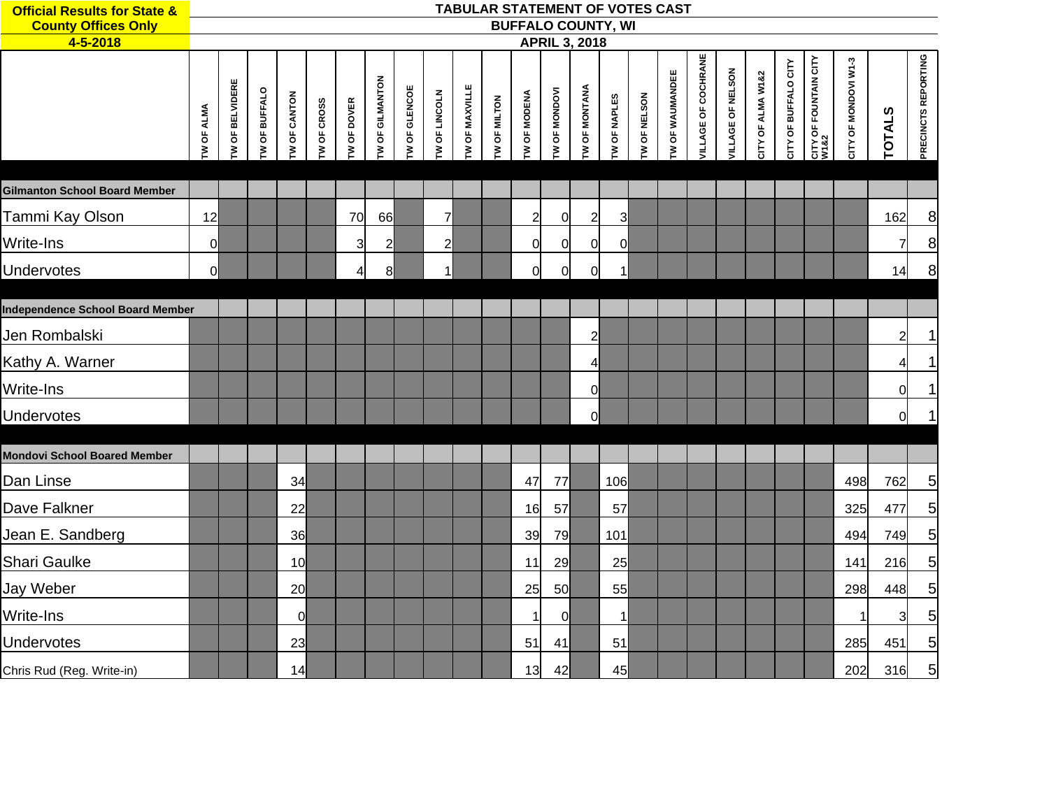| <b>Official Results for State &amp;</b><br><b>County Offices Only</b> |                   |                        |                      |                     |             |                |                 |               |                |                |              | TABULAR STATEMENT OF VOTES CAST<br><b>BUFFALO COUNTY, WI</b> |                      |                      |                     |              |                 |                     |                   |                   |                      |                                      |                      |                |                     |
|-----------------------------------------------------------------------|-------------------|------------------------|----------------------|---------------------|-------------|----------------|-----------------|---------------|----------------|----------------|--------------|--------------------------------------------------------------|----------------------|----------------------|---------------------|--------------|-----------------|---------------------|-------------------|-------------------|----------------------|--------------------------------------|----------------------|----------------|---------------------|
| 4-5-2018                                                              |                   |                        |                      |                     |             |                |                 |               |                |                |              |                                                              |                      | <b>APRIL 3, 2018</b> |                     |              |                 |                     |                   |                   |                      |                                      |                      |                |                     |
|                                                                       | <b>TW OF ALMA</b> | <b>TW OF BELVIDERE</b> | <b>TW OF BUFFALO</b> | <b>TW OF CANTON</b> | TW OF CROSS | TW OF DOVER    | TW OF GILMANTON | TW OF GLENCOE | TW OF LINCOLN  | TW OF MAXVILLE | TW OF MILTON | <b>TW OF MODENA</b>                                          | <b>TW OF MONDOVI</b> | <b>TW OF MONTANA</b> | <b>TW OF NAPLES</b> | TW OF NELSON | TW OF WAUMANDEE | VILLAGE OF COCHRANE | VILLAGE OF NELSON | CITY OF ALMA W1&2 | CITY OF BUFFALO CITY | <b>CITY OF FOUNTAIN CITY</b><br>W1&2 | CITY OF MONDOVI W1-3 | <b>TOTALS</b>  | PRECINCTS REPORTING |
| <b>Gilmanton School Board Member</b>                                  |                   |                        |                      |                     |             |                |                 |               |                |                |              |                                                              |                      |                      |                     |              |                 |                     |                   |                   |                      |                                      |                      |                |                     |
| Tammi Kay Olson                                                       | 12                |                        |                      |                     |             | 70             | 66              |               | $\overline{7}$ |                |              | $\overline{2}$                                               | 0                    | $\overline{2}$       | $\overline{3}$      |              |                 |                     |                   |                   |                      |                                      |                      | 162            | 8                   |
| Write-Ins                                                             | $\overline{0}$    |                        |                      |                     |             | $\overline{3}$ | $\overline{2}$  |               | $\overline{2}$ |                |              | 0l                                                           | 0                    | <sub>0</sub>         | $\overline{0}$      |              |                 |                     |                   |                   |                      |                                      |                      | $\overline{7}$ | 8                   |
| <b>Undervotes</b>                                                     | $\overline{0}$    |                        |                      |                     |             | 4              | 8               |               | $\mathbf{1}$   |                |              | $\overline{0}$                                               | $\overline{0}$       | <sub>0</sub>         | $\mathbf 1$         |              |                 |                     |                   |                   |                      |                                      |                      | 14             | $\boldsymbol{8}$    |
| <b>Independence School Board Member</b>                               |                   |                        |                      |                     |             |                |                 |               |                |                |              |                                                              |                      |                      |                     |              |                 |                     |                   |                   |                      |                                      |                      |                |                     |
| Jen Rombalski                                                         |                   |                        |                      |                     |             |                |                 |               |                |                |              |                                                              |                      | $\overline{2}$       |                     |              |                 |                     |                   |                   |                      |                                      |                      | $\overline{2}$ | $\mathbf 1$         |
| Kathy A. Warner                                                       |                   |                        |                      |                     |             |                |                 |               |                |                |              |                                                              |                      | 4                    |                     |              |                 |                     |                   |                   |                      |                                      |                      | 41             | $\mathbf 1$         |
| <b>Write-Ins</b>                                                      |                   |                        |                      |                     |             |                |                 |               |                |                |              |                                                              |                      | <sub>0</sub>         |                     |              |                 |                     |                   |                   |                      |                                      |                      | <sub>0</sub>   | $\mathbf 1$         |
| Undervotes                                                            |                   |                        |                      |                     |             |                |                 |               |                |                |              |                                                              |                      | Οl                   |                     |              |                 |                     |                   |                   |                      |                                      |                      | <sub>0</sub>   | $\mathbf{1}$        |
| <b>Mondovi School Boared Member</b>                                   |                   |                        |                      |                     |             |                |                 |               |                |                |              |                                                              |                      |                      |                     |              |                 |                     |                   |                   |                      |                                      |                      |                |                     |
| Dan Linse                                                             |                   |                        |                      | 34                  |             |                |                 |               |                |                |              | 47                                                           | 77                   |                      | 106                 |              |                 |                     |                   |                   |                      |                                      | 498                  | 762            | $\overline{5}$      |
| Dave Falkner                                                          |                   |                        |                      | 22                  |             |                |                 |               |                |                |              | 16                                                           | 57                   |                      | 57                  |              |                 |                     |                   |                   |                      |                                      | 325                  | 477            | $\overline{5}$      |
| Jean E. Sandberg                                                      |                   |                        |                      | 36                  |             |                |                 |               |                |                |              | 39                                                           | 79                   |                      | 101                 |              |                 |                     |                   |                   |                      |                                      | 494                  | 749            | $\overline{5}$      |
| Shari Gaulke                                                          |                   |                        |                      | 10                  |             |                |                 |               |                |                |              | 11                                                           | 29                   |                      | 25                  |              |                 |                     |                   |                   |                      |                                      | 141                  | 216            | $\overline{5}$      |
| Jay Weber                                                             |                   |                        |                      | 20                  |             |                |                 |               |                |                |              | 25                                                           | 50                   |                      | 55                  |              |                 |                     |                   |                   |                      |                                      | 298                  | 448            | $\overline{5}$      |
| <b>Write-Ins</b>                                                      |                   |                        |                      | <sup>0</sup>        |             |                |                 |               |                |                |              | $\mathbf 1$                                                  | 0l                   |                      | $\vert$ 1           |              |                 |                     |                   |                   |                      |                                      | 1                    | $\overline{3}$ | 5                   |
| Undervotes                                                            |                   |                        |                      | 23                  |             |                |                 |               |                |                |              | 51                                                           | 41                   |                      | 51                  |              |                 |                     |                   |                   |                      |                                      | 285                  | 451            | 5                   |
| Chris Rud (Reg. Write-in)                                             |                   |                        |                      | 14                  |             |                |                 |               |                |                |              | 13                                                           | 42                   |                      | 45                  |              |                 |                     |                   |                   |                      |                                      | 202                  | 316            | 5 <sup>1</sup>      |